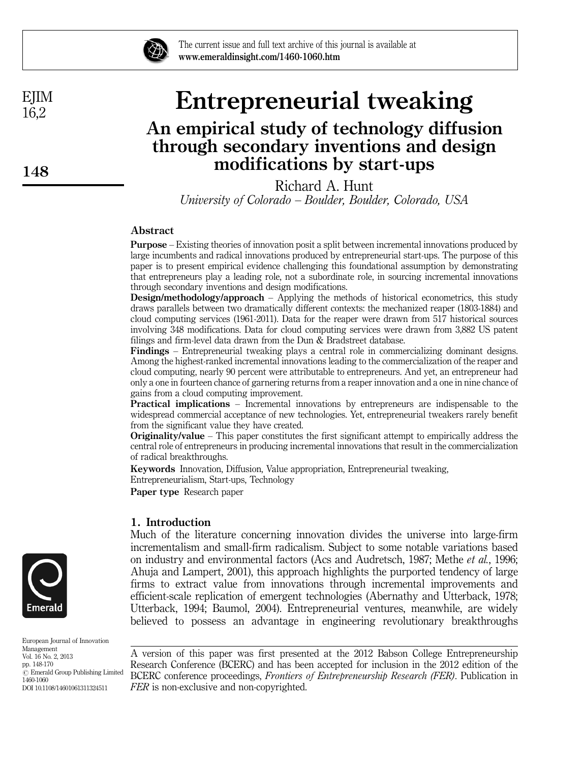

The current issue and full text archive of this journal is available at www.emeraldinsight.com/1460-1060.htm

# Entrepreneurial tweaking

## An empirical study of technology diffusion through secondary inventions and design modifications by start-ups

Richard A. Hunt University of Colorado – Boulder, Boulder, Colorado, USA

#### Abstract

Purpose – Existing theories of innovation posit a split between incremental innovations produced by large incumbents and radical innovations produced by entrepreneurial start-ups. The purpose of this paper is to present empirical evidence challenging this foundational assumption by demonstrating that entrepreneurs play a leading role, not a subordinate role, in sourcing incremental innovations through secondary inventions and design modifications.

Design/methodology/approach – Applying the methods of historical econometrics, this study draws parallels between two dramatically different contexts: the mechanized reaper (1803-1884) and cloud computing services (1961-2011). Data for the reaper were drawn from 517 historical sources involving 348 modifications. Data for cloud computing services were drawn from 3,882 US patent filings and firm-level data drawn from the Dun & Bradstreet database.

Findings – Entrepreneurial tweaking plays a central role in commercializing dominant designs. Among the highest-ranked incremental innovations leading to the commercialization of the reaper and cloud computing, nearly 90 percent were attributable to entrepreneurs. And yet, an entrepreneur had only a one in fourteen chance of garnering returns from a reaper innovation and a one in nine chance of gains from a cloud computing improvement.

Practical implications – Incremental innovations by entrepreneurs are indispensable to the widespread commercial acceptance of new technologies. Yet, entrepreneurial tweakers rarely benefit from the significant value they have created.

Originality/value – This paper constitutes the first significant attempt to empirically address the central role of entrepreneurs in producing incremental innovations that result in the commercialization of radical breakthroughs.

Keywords Innovation, Diffusion, Value appropriation, Entrepreneurial tweaking, Entrepreneurialism, Start-ups, Technology

Paper type Research paper

#### 1. Introduction

Much of the literature concerning innovation divides the universe into large-firm incrementalism and small-firm radicalism. Subject to some notable variations based on industry and environmental factors (Acs and Audretsch, 1987; Methe et al., 1996; Ahuja and Lampert, 2001), this approach highlights the purported tendency of large firms to extract value from innovations through incremental improvements and efficient-scale replication of emergent technologies (Abernathy and Utterback, 1978; Utterback, 1994; Baumol, 2004). Entrepreneurial ventures, meanwhile, are widely believed to possess an advantage in engineering revolutionary breakthroughs

A version of this paper was first presented at the 2012 Babson College Entrepreneurship Research Conference (BCERC) and has been accepted for inclusion in the 2012 edition of the BCERC conference proceedings, Frontiers of Entrepreneurship Research (FER). Publication in FER is non-exclusive and non-copyrighted.



European Journal of Innovation Management Vol. 16 No. 2, 2013 pp. 148-170  $\odot$  Emerald Group Publishing Limited 1460-1060 DOI 10.1108/14601061311324511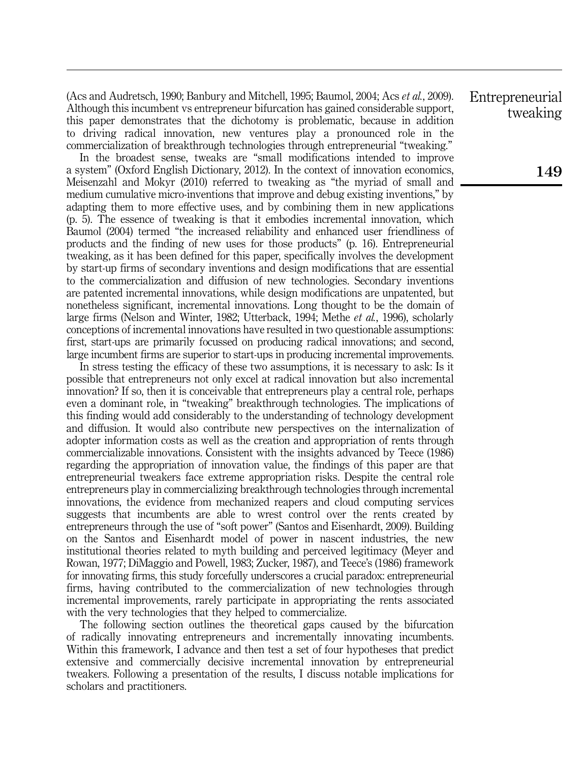(Acs and Audretsch, 1990; Banbury and Mitchell, 1995; Baumol, 2004; Acs et al., 2009). Although this incumbent vs entrepreneur bifurcation has gained considerable support, this paper demonstrates that the dichotomy is problematic, because in addition to driving radical innovation, new ventures play a pronounced role in the commercialization of breakthrough technologies through entrepreneurial "tweaking."

In the broadest sense, tweaks are "small modifications intended to improve a system" (Oxford English Dictionary, 2012). In the context of innovation economics, Meisenzahl and Mokyr (2010) referred to tweaking as "the myriad of small and medium cumulative micro-inventions that improve and debug existing inventions," by adapting them to more effective uses, and by combining them in new applications (p. 5). The essence of tweaking is that it embodies incremental innovation, which Baumol (2004) termed "the increased reliability and enhanced user friendliness of products and the finding of new uses for those products" (p. 16). Entrepreneurial tweaking, as it has been defined for this paper, specifically involves the development by start-up firms of secondary inventions and design modifications that are essential to the commercialization and diffusion of new technologies. Secondary inventions are patented incremental innovations, while design modifications are unpatented, but nonetheless significant, incremental innovations. Long thought to be the domain of large firms (Nelson and Winter, 1982; Utterback, 1994; Methe et al., 1996), scholarly conceptions of incremental innovations have resulted in two questionable assumptions: first, start-ups are primarily focussed on producing radical innovations; and second, large incumbent firms are superior to start-ups in producing incremental improvements.

In stress testing the efficacy of these two assumptions, it is necessary to ask: Is it possible that entrepreneurs not only excel at radical innovation but also incremental innovation? If so, then it is conceivable that entrepreneurs play a central role, perhaps even a dominant role, in "tweaking" breakthrough technologies. The implications of this finding would add considerably to the understanding of technology development and diffusion. It would also contribute new perspectives on the internalization of adopter information costs as well as the creation and appropriation of rents through commercializable innovations. Consistent with the insights advanced by Teece (1986) regarding the appropriation of innovation value, the findings of this paper are that entrepreneurial tweakers face extreme appropriation risks. Despite the central role entrepreneurs play in commercializing breakthrough technologies through incremental innovations, the evidence from mechanized reapers and cloud computing services suggests that incumbents are able to wrest control over the rents created by entrepreneurs through the use of "soft power" (Santos and Eisenhardt, 2009). Building on the Santos and Eisenhardt model of power in nascent industries, the new institutional theories related to myth building and perceived legitimacy (Meyer and Rowan, 1977; DiMaggio and Powell, 1983; Zucker, 1987), and Teece's (1986) framework for innovating firms, this study forcefully underscores a crucial paradox: entrepreneurial firms, having contributed to the commercialization of new technologies through incremental improvements, rarely participate in appropriating the rents associated with the very technologies that they helped to commercialize.

The following section outlines the theoretical gaps caused by the bifurcation of radically innovating entrepreneurs and incrementally innovating incumbents. Within this framework, I advance and then test a set of four hypotheses that predict extensive and commercially decisive incremental innovation by entrepreneurial tweakers. Following a presentation of the results, I discuss notable implications for scholars and practitioners.

Entrepreneurial tweaking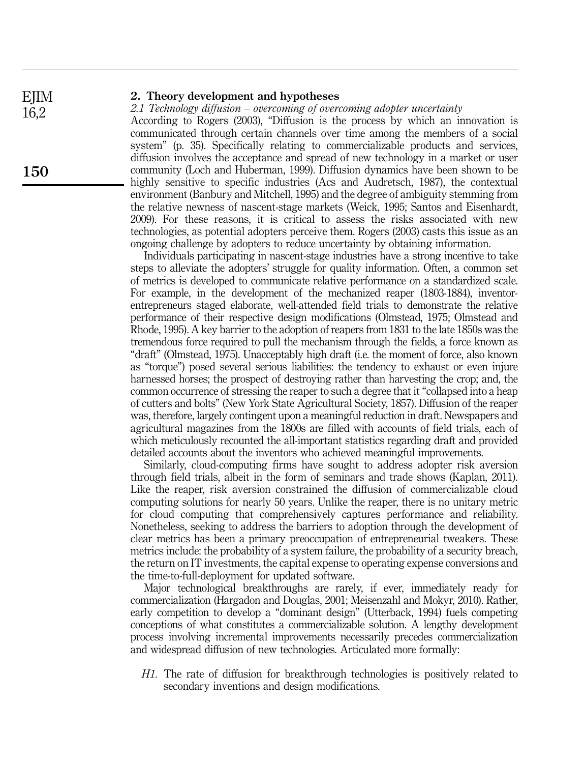## EJIM 16,2

#### 2. Theory development and hypotheses

2.1 Technology diffusion – overcoming of overcoming adopter uncertainty According to Rogers (2003), "Diffusion is the process by which an innovation is communicated through certain channels over time among the members of a social system" (p. 35). Specifically relating to commercializable products and services, diffusion involves the acceptance and spread of new technology in a market or user community (Loch and Huberman, 1999). Diffusion dynamics have been shown to be highly sensitive to specific industries (Acs and Audretsch, 1987), the contextual environment (Banbury and Mitchell, 1995) and the degree of ambiguity stemming from the relative newness of nascent-stage markets (Weick, 1995; Santos and Eisenhardt, 2009). For these reasons, it is critical to assess the risks associated with new technologies, as potential adopters perceive them. Rogers (2003) casts this issue as an ongoing challenge by adopters to reduce uncertainty by obtaining information.

Individuals participating in nascent-stage industries have a strong incentive to take steps to alleviate the adopters' struggle for quality information. Often, a common set of metrics is developed to communicate relative performance on a standardized scale. For example, in the development of the mechanized reaper (1803-1884), inventorentrepreneurs staged elaborate, well-attended field trials to demonstrate the relative performance of their respective design modifications (Olmstead, 1975; Olmstead and Rhode, 1995). A key barrier to the adoption of reapers from 1831 to the late 1850s was the tremendous force required to pull the mechanism through the fields, a force known as "draft" (Olmstead, 1975). Unacceptably high draft (i.e. the moment of force, also known as "torque") posed several serious liabilities: the tendency to exhaust or even injure harnessed horses; the prospect of destroying rather than harvesting the crop; and, the common occurrence of stressing the reaper to such a degree that it "collapsed into a heap of cutters and bolts" (New York State Agricultural Society, 1857). Diffusion of the reaper was, therefore, largely contingent upon a meaningful reduction in draft. Newspapers and agricultural magazines from the 1800s are filled with accounts of field trials, each of which meticulously recounted the all-important statistics regarding draft and provided detailed accounts about the inventors who achieved meaningful improvements.

Similarly, cloud-computing firms have sought to address adopter risk aversion through field trials, albeit in the form of seminars and trade shows (Kaplan, 2011). Like the reaper, risk aversion constrained the diffusion of commercializable cloud computing solutions for nearly 50 years. Unlike the reaper, there is no unitary metric for cloud computing that comprehensively captures performance and reliability. Nonetheless, seeking to address the barriers to adoption through the development of clear metrics has been a primary preoccupation of entrepreneurial tweakers. These metrics include: the probability of a system failure, the probability of a security breach, the return on IT investments, the capital expense to operating expense conversions and the time-to-full-deployment for updated software.

Major technological breakthroughs are rarely, if ever, immediately ready for commercialization (Hargadon and Douglas, 2001; Meisenzahl and Mokyr, 2010). Rather, early competition to develop a "dominant design" (Utterback, 1994) fuels competing conceptions of what constitutes a commercializable solution. A lengthy development process involving incremental improvements necessarily precedes commercialization and widespread diffusion of new technologies. Articulated more formally:

H1. The rate of diffusion for breakthrough technologies is positively related to secondary inventions and design modifications.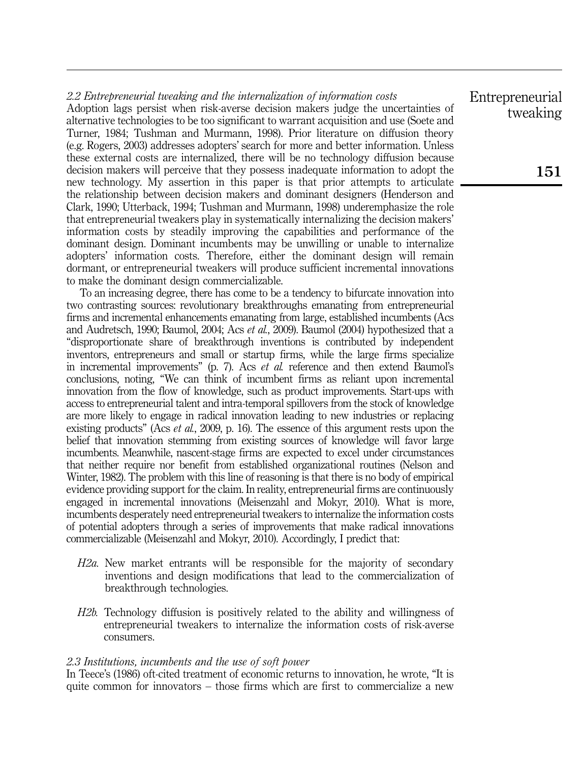### 2.2 Entrepreneurial tweaking and the internalization of information costs

Adoption lags persist when risk-averse decision makers judge the uncertainties of alternative technologies to be too significant to warrant acquisition and use (Soete and Turner, 1984; Tushman and Murmann, 1998). Prior literature on diffusion theory (e.g. Rogers, 2003) addresses adopters' search for more and better information. Unless these external costs are internalized, there will be no technology diffusion because decision makers will perceive that they possess inadequate information to adopt the new technology. My assertion in this paper is that prior attempts to articulate the relationship between decision makers and dominant designers (Henderson and Clark, 1990; Utterback, 1994; Tushman and Murmann, 1998) underemphasize the role that entrepreneurial tweakers play in systematically internalizing the decision makers' information costs by steadily improving the capabilities and performance of the dominant design. Dominant incumbents may be unwilling or unable to internalize adopters' information costs. Therefore, either the dominant design will remain dormant, or entrepreneurial tweakers will produce sufficient incremental innovations to make the dominant design commercializable.

To an increasing degree, there has come to be a tendency to bifurcate innovation into two contrasting sources: revolutionary breakthroughs emanating from entrepreneurial firms and incremental enhancements emanating from large, established incumbents (Acs and Audretsch, 1990; Baumol, 2004; Acs et al., 2009). Baumol (2004) hypothesized that a "disproportionate share of breakthrough inventions is contributed by independent inventors, entrepreneurs and small or startup firms, while the large firms specialize in incremental improvements" (p. 7). Acs et al. reference and then extend Baumol's conclusions, noting, "We can think of incumbent firms as reliant upon incremental innovation from the flow of knowledge, such as product improvements. Start-ups with access to entrepreneurial talent and intra-temporal spillovers from the stock of knowledge are more likely to engage in radical innovation leading to new industries or replacing existing products" (Acs et al., 2009, p. 16). The essence of this argument rests upon the belief that innovation stemming from existing sources of knowledge will favor large incumbents. Meanwhile, nascent-stage firms are expected to excel under circumstances that neither require nor benefit from established organizational routines (Nelson and Winter, 1982). The problem with this line of reasoning is that there is no body of empirical evidence providing support for the claim. In reality, entrepreneurial firms are continuously engaged in incremental innovations (Meisenzahl and Mokyr, 2010). What is more, incumbents desperately need entrepreneurial tweakers to internalize the information costs of potential adopters through a series of improvements that make radical innovations commercializable (Meisenzahl and Mokyr, 2010). Accordingly, I predict that:

- H2a. New market entrants will be responsible for the majority of secondary inventions and design modifications that lead to the commercialization of breakthrough technologies.
- H2b. Technology diffusion is positively related to the ability and willingness of entrepreneurial tweakers to internalize the information costs of risk-averse consumers.

#### 2.3 Institutions, incumbents and the use of soft power

In Teece's (1986) oft-cited treatment of economic returns to innovation, he wrote, "It is quite common for innovators – those firms which are first to commercialize a new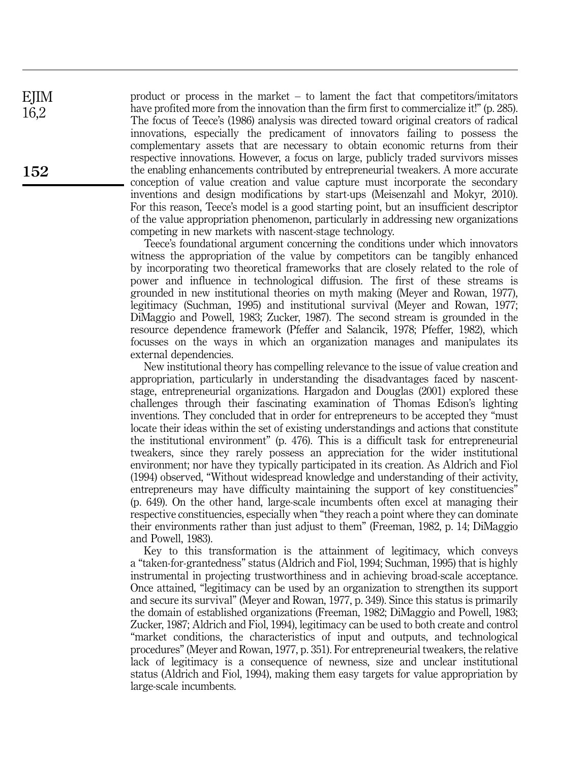product or process in the market – to lament the fact that competitors/imitators have profited more from the innovation than the firm first to commercialize it!" (p. 285). The focus of Teece's (1986) analysis was directed toward original creators of radical innovations, especially the predicament of innovators failing to possess the complementary assets that are necessary to obtain economic returns from their respective innovations. However, a focus on large, publicly traded survivors misses the enabling enhancements contributed by entrepreneurial tweakers. A more accurate conception of value creation and value capture must incorporate the secondary inventions and design modifications by start-ups (Meisenzahl and Mokyr, 2010). For this reason, Teece's model is a good starting point, but an insufficient descriptor of the value appropriation phenomenon, particularly in addressing new organizations competing in new markets with nascent-stage technology.

Teece's foundational argument concerning the conditions under which innovators witness the appropriation of the value by competitors can be tangibly enhanced by incorporating two theoretical frameworks that are closely related to the role of power and influence in technological diffusion. The first of these streams is grounded in new institutional theories on myth making (Meyer and Rowan, 1977), legitimacy (Suchman, 1995) and institutional survival (Meyer and Rowan, 1977; DiMaggio and Powell, 1983; Zucker, 1987). The second stream is grounded in the resource dependence framework (Pfeffer and Salancik, 1978; Pfeffer, 1982), which focusses on the ways in which an organization manages and manipulates its external dependencies.

New institutional theory has compelling relevance to the issue of value creation and appropriation, particularly in understanding the disadvantages faced by nascentstage, entrepreneurial organizations. Hargadon and Douglas (2001) explored these challenges through their fascinating examination of Thomas Edison's lighting inventions. They concluded that in order for entrepreneurs to be accepted they "must locate their ideas within the set of existing understandings and actions that constitute the institutional environment" (p. 476). This is a difficult task for entrepreneurial tweakers, since they rarely possess an appreciation for the wider institutional environment; nor have they typically participated in its creation. As Aldrich and Fiol (1994) observed, "Without widespread knowledge and understanding of their activity, entrepreneurs may have difficulty maintaining the support of key constituencies" (p. 649). On the other hand, large-scale incumbents often excel at managing their respective constituencies, especially when "they reach a point where they can dominate their environments rather than just adjust to them" (Freeman, 1982, p. 14; DiMaggio and Powell, 1983).

Key to this transformation is the attainment of legitimacy, which conveys a "taken-for-grantedness" status (Aldrich and Fiol, 1994; Suchman, 1995) that is highly instrumental in projecting trustworthiness and in achieving broad-scale acceptance. Once attained, "legitimacy can be used by an organization to strengthen its support and secure its survival" (Meyer and Rowan, 1977, p. 349). Since this status is primarily the domain of established organizations (Freeman, 1982; DiMaggio and Powell, 1983; Zucker, 1987; Aldrich and Fiol, 1994), legitimacy can be used to both create and control "market conditions, the characteristics of input and outputs, and technological procedures" (Meyer and Rowan, 1977, p. 351). For entrepreneurial tweakers, the relative lack of legitimacy is a consequence of newness, size and unclear institutional status (Aldrich and Fiol, 1994), making them easy targets for value appropriation by large-scale incumbents.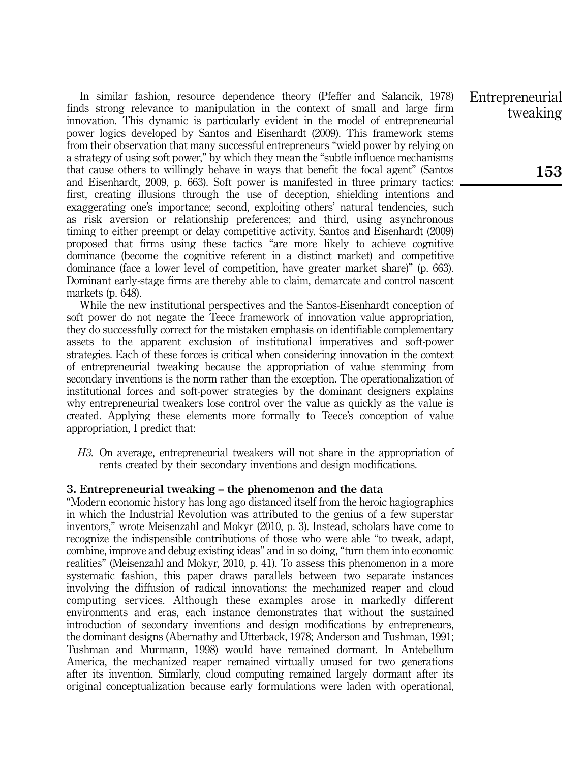In similar fashion, resource dependence theory (Pfeffer and Salancik, 1978) finds strong relevance to manipulation in the context of small and large firm innovation. This dynamic is particularly evident in the model of entrepreneurial power logics developed by Santos and Eisenhardt (2009). This framework stems from their observation that many successful entrepreneurs "wield power by relying on a strategy of using soft power," by which they mean the "subtle influence mechanisms that cause others to willingly behave in ways that benefit the focal agent" (Santos and Eisenhardt, 2009, p. 663). Soft power is manifested in three primary tactics: first, creating illusions through the use of deception, shielding intentions and exaggerating one's importance; second, exploiting others' natural tendencies, such as risk aversion or relationship preferences; and third, using asynchronous timing to either preempt or delay competitive activity. Santos and Eisenhardt (2009) proposed that firms using these tactics "are more likely to achieve cognitive dominance (become the cognitive referent in a distinct market) and competitive dominance (face a lower level of competition, have greater market share)" (p. 663). Dominant early-stage firms are thereby able to claim, demarcate and control nascent markets (p. 648).

While the new institutional perspectives and the Santos-Eisenhardt conception of soft power do not negate the Teece framework of innovation value appropriation, they do successfully correct for the mistaken emphasis on identifiable complementary assets to the apparent exclusion of institutional imperatives and soft-power strategies. Each of these forces is critical when considering innovation in the context of entrepreneurial tweaking because the appropriation of value stemming from secondary inventions is the norm rather than the exception. The operationalization of institutional forces and soft-power strategies by the dominant designers explains why entrepreneurial tweakers lose control over the value as quickly as the value is created. Applying these elements more formally to Teece's conception of value appropriation, I predict that:

H3. On average, entrepreneurial tweakers will not share in the appropriation of rents created by their secondary inventions and design modifications.

#### 3. Entrepreneurial tweaking – the phenomenon and the data

"Modern economic history has long ago distanced itself from the heroic hagiographics in which the Industrial Revolution was attributed to the genius of a few superstar inventors," wrote Meisenzahl and Mokyr (2010, p. 3). Instead, scholars have come to recognize the indispensible contributions of those who were able "to tweak, adapt, combine, improve and debug existing ideas" and in so doing, "turn them into economic realities" (Meisenzahl and Mokyr, 2010, p. 41). To assess this phenomenon in a more systematic fashion, this paper draws parallels between two separate instances involving the diffusion of radical innovations: the mechanized reaper and cloud computing services. Although these examples arose in markedly different environments and eras, each instance demonstrates that without the sustained introduction of secondary inventions and design modifications by entrepreneurs, the dominant designs (Abernathy and Utterback, 1978; Anderson and Tushman, 1991; Tushman and Murmann, 1998) would have remained dormant. In Antebellum America, the mechanized reaper remained virtually unused for two generations after its invention. Similarly, cloud computing remained largely dormant after its original conceptualization because early formulations were laden with operational,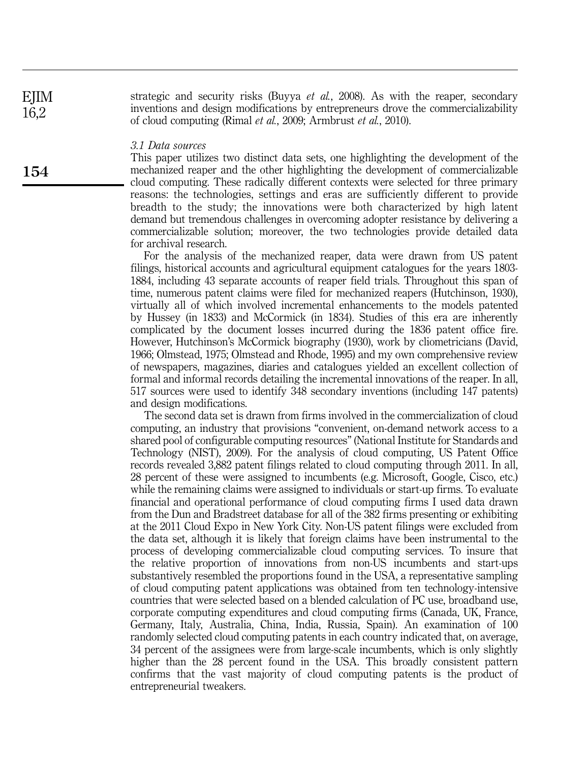strategic and security risks (Buyya et al., 2008). As with the reaper, secondary inventions and design modifications by entrepreneurs drove the commercializability of cloud computing (Rimal et al., 2009; Armbrust et al., 2010).

#### 3.1 Data sources

This paper utilizes two distinct data sets, one highlighting the development of the mechanized reaper and the other highlighting the development of commercializable cloud computing. These radically different contexts were selected for three primary reasons: the technologies, settings and eras are sufficiently different to provide breadth to the study; the innovations were both characterized by high latent demand but tremendous challenges in overcoming adopter resistance by delivering a commercializable solution; moreover, the two technologies provide detailed data for archival research.

For the analysis of the mechanized reaper, data were drawn from US patent filings, historical accounts and agricultural equipment catalogues for the years 1803- 1884, including 43 separate accounts of reaper field trials. Throughout this span of time, numerous patent claims were filed for mechanized reapers (Hutchinson, 1930), virtually all of which involved incremental enhancements to the models patented by Hussey (in 1833) and McCormick (in 1834). Studies of this era are inherently complicated by the document losses incurred during the 1836 patent office fire. However, Hutchinson's McCormick biography (1930), work by cliometricians (David, 1966; Olmstead, 1975; Olmstead and Rhode, 1995) and my own comprehensive review of newspapers, magazines, diaries and catalogues yielded an excellent collection of formal and informal records detailing the incremental innovations of the reaper. In all, 517 sources were used to identify 348 secondary inventions (including 147 patents) and design modifications.

The second data set is drawn from firms involved in the commercialization of cloud computing, an industry that provisions "convenient, on-demand network access to a shared pool of configurable computing resources" (National Institute for Standards and Technology (NIST), 2009). For the analysis of cloud computing, US Patent Office records revealed 3,882 patent filings related to cloud computing through 2011. In all, 28 percent of these were assigned to incumbents (e.g. Microsoft, Google, Cisco, etc.) while the remaining claims were assigned to individuals or start-up firms. To evaluate financial and operational performance of cloud computing firms I used data drawn from the Dun and Bradstreet database for all of the 382 firms presenting or exhibiting at the 2011 Cloud Expo in New York City. Non-US patent filings were excluded from the data set, although it is likely that foreign claims have been instrumental to the process of developing commercializable cloud computing services. To insure that the relative proportion of innovations from non-US incumbents and start-ups substantively resembled the proportions found in the USA, a representative sampling of cloud computing patent applications was obtained from ten technology-intensive countries that were selected based on a blended calculation of PC use, broadband use, corporate computing expenditures and cloud computing firms (Canada, UK, France, Germany, Italy, Australia, China, India, Russia, Spain). An examination of 100 randomly selected cloud computing patents in each country indicated that, on average, 34 percent of the assignees were from large-scale incumbents, which is only slightly higher than the 28 percent found in the USA. This broadly consistent pattern confirms that the vast majority of cloud computing patents is the product of entrepreneurial tweakers.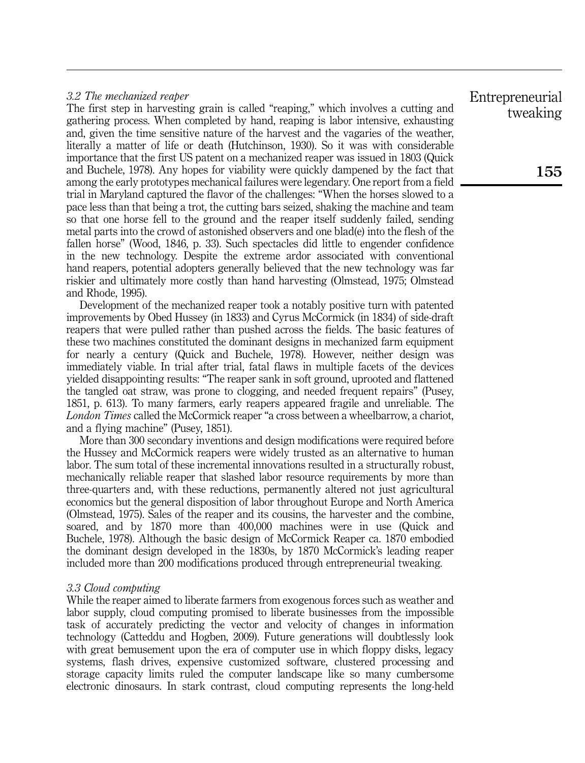#### 3.2 The mechanized reaper

The first step in harvesting grain is called "reaping," which involves a cutting and gathering process. When completed by hand, reaping is labor intensive, exhausting and, given the time sensitive nature of the harvest and the vagaries of the weather, literally a matter of life or death (Hutchinson, 1930). So it was with considerable importance that the first US patent on a mechanized reaper was issued in 1803 (Quick and Buchele, 1978). Any hopes for viability were quickly dampened by the fact that among the early prototypes mechanical failures were legendary. One report from a field trial in Maryland captured the flavor of the challenges: "When the horses slowed to a pace less than that being a trot, the cutting bars seized, shaking the machine and team so that one horse fell to the ground and the reaper itself suddenly failed, sending metal parts into the crowd of astonished observers and one blad(e) into the flesh of the fallen horse" (Wood, 1846, p. 33). Such spectacles did little to engender confidence in the new technology. Despite the extreme ardor associated with conventional hand reapers, potential adopters generally believed that the new technology was far riskier and ultimately more costly than hand harvesting (Olmstead, 1975; Olmstead and Rhode, 1995).

Development of the mechanized reaper took a notably positive turn with patented improvements by Obed Hussey (in 1833) and Cyrus McCormick (in 1834) of side-draft reapers that were pulled rather than pushed across the fields. The basic features of these two machines constituted the dominant designs in mechanized farm equipment for nearly a century (Quick and Buchele, 1978). However, neither design was immediately viable. In trial after trial, fatal flaws in multiple facets of the devices yielded disappointing results: "The reaper sank in soft ground, uprooted and flattened the tangled oat straw, was prone to clogging, and needed frequent repairs" (Pusey, 1851, p. 613). To many farmers, early reapers appeared fragile and unreliable. The London Times called the McCormick reaper "a cross between a wheelbarrow, a chariot, and a flying machine" (Pusey, 1851).

More than 300 secondary inventions and design modifications were required before the Hussey and McCormick reapers were widely trusted as an alternative to human labor. The sum total of these incremental innovations resulted in a structurally robust, mechanically reliable reaper that slashed labor resource requirements by more than three-quarters and, with these reductions, permanently altered not just agricultural economics but the general disposition of labor throughout Europe and North America (Olmstead, 1975). Sales of the reaper and its cousins, the harvester and the combine, soared, and by 1870 more than 400,000 machines were in use (Quick and Buchele, 1978). Although the basic design of McCormick Reaper ca. 1870 embodied the dominant design developed in the 1830s, by 1870 McCormick's leading reaper included more than 200 modifications produced through entrepreneurial tweaking.

#### 3.3 Cloud computing

While the reaper aimed to liberate farmers from exogenous forces such as weather and labor supply, cloud computing promised to liberate businesses from the impossible task of accurately predicting the vector and velocity of changes in information technology (Catteddu and Hogben, 2009). Future generations will doubtlessly look with great bemusement upon the era of computer use in which floppy disks, legacy systems, flash drives, expensive customized software, clustered processing and storage capacity limits ruled the computer landscape like so many cumbersome electronic dinosaurs. In stark contrast, cloud computing represents the long-held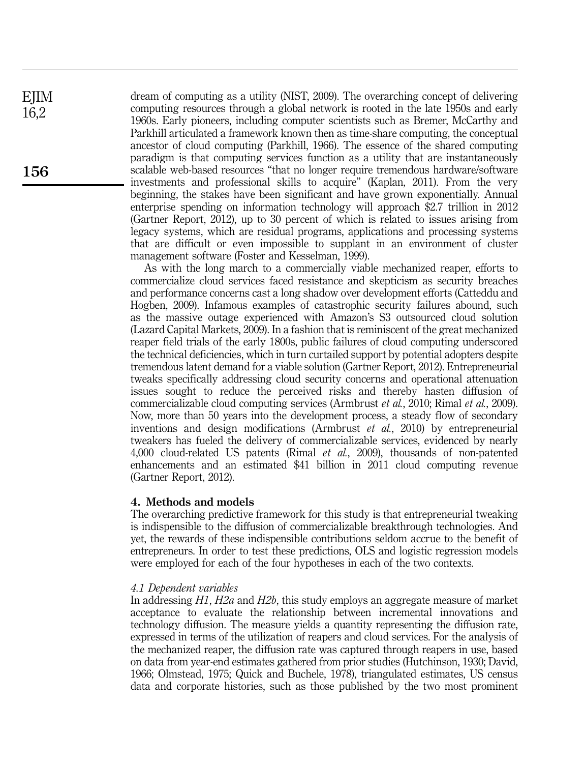dream of computing as a utility (NIST, 2009). The overarching concept of delivering computing resources through a global network is rooted in the late 1950s and early 1960s. Early pioneers, including computer scientists such as Bremer, McCarthy and Parkhill articulated a framework known then as time-share computing, the conceptual ancestor of cloud computing (Parkhill, 1966). The essence of the shared computing paradigm is that computing services function as a utility that are instantaneously scalable web-based resources "that no longer require tremendous hardware/software investments and professional skills to acquire" (Kaplan, 2011). From the very beginning, the stakes have been significant and have grown exponentially. Annual enterprise spending on information technology will approach \$2.7 trillion in 2012 (Gartner Report, 2012), up to 30 percent of which is related to issues arising from legacy systems, which are residual programs, applications and processing systems that are difficult or even impossible to supplant in an environment of cluster management software (Foster and Kesselman, 1999).

As with the long march to a commercially viable mechanized reaper, efforts to commercialize cloud services faced resistance and skepticism as security breaches and performance concerns cast a long shadow over development efforts (Catteddu and Hogben, 2009). Infamous examples of catastrophic security failures abound, such as the massive outage experienced with Amazon's S3 outsourced cloud solution (Lazard Capital Markets, 2009). In a fashion that is reminiscent of the great mechanized reaper field trials of the early 1800s, public failures of cloud computing underscored the technical deficiencies, which in turn curtailed support by potential adopters despite tremendous latent demand for a viable solution (Gartner Report, 2012). Entrepreneurial tweaks specifically addressing cloud security concerns and operational attenuation issues sought to reduce the perceived risks and thereby hasten diffusion of commercializable cloud computing services (Armbrust et al., 2010; Rimal et al., 2009). Now, more than 50 years into the development process, a steady flow of secondary inventions and design modifications (Armbrust et al., 2010) by entrepreneurial tweakers has fueled the delivery of commercializable services, evidenced by nearly 4,000 cloud-related US patents (Rimal et al., 2009), thousands of non-patented enhancements and an estimated \$41 billion in 2011 cloud computing revenue (Gartner Report, 2012).

#### 4. Methods and models

The overarching predictive framework for this study is that entrepreneurial tweaking is indispensible to the diffusion of commercializable breakthrough technologies. And yet, the rewards of these indispensible contributions seldom accrue to the benefit of entrepreneurs. In order to test these predictions, OLS and logistic regression models were employed for each of the four hypotheses in each of the two contexts.

#### 4.1 Dependent variables

In addressing H1, H2a and H2b, this study employs an aggregate measure of market acceptance to evaluate the relationship between incremental innovations and technology diffusion. The measure yields a quantity representing the diffusion rate, expressed in terms of the utilization of reapers and cloud services. For the analysis of the mechanized reaper, the diffusion rate was captured through reapers in use, based on data from year-end estimates gathered from prior studies (Hutchinson, 1930; David, 1966; Olmstead, 1975; Quick and Buchele, 1978), triangulated estimates, US census data and corporate histories, such as those published by the two most prominent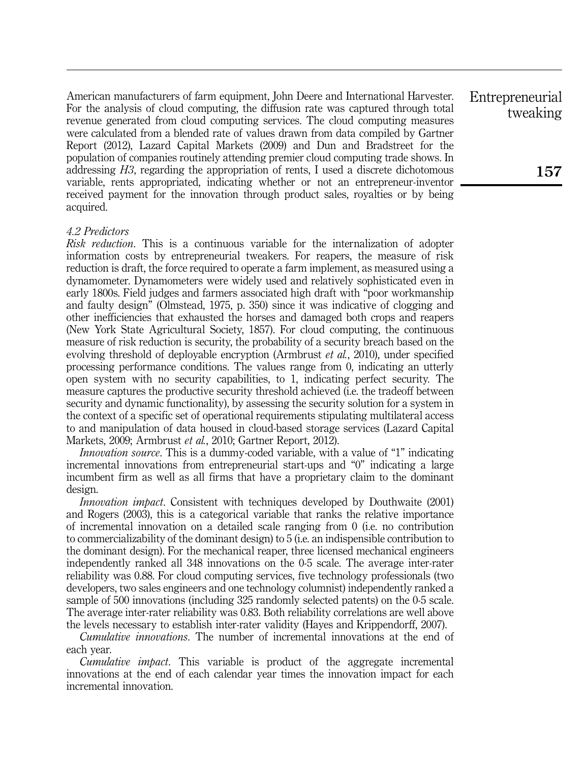American manufacturers of farm equipment, John Deere and International Harvester. For the analysis of cloud computing, the diffusion rate was captured through total revenue generated from cloud computing services. The cloud computing measures were calculated from a blended rate of values drawn from data compiled by Gartner Report (2012), Lazard Capital Markets (2009) and Dun and Bradstreet for the population of companies routinely attending premier cloud computing trade shows. In addressing H3, regarding the appropriation of rents, I used a discrete dichotomous variable, rents appropriated, indicating whether or not an entrepreneur-inventor received payment for the innovation through product sales, royalties or by being acquired.

#### 4.2 Predictors

Risk reduction. This is a continuous variable for the internalization of adopter information costs by entrepreneurial tweakers. For reapers, the measure of risk reduction is draft, the force required to operate a farm implement, as measured using a dynamometer. Dynamometers were widely used and relatively sophisticated even in early 1800s. Field judges and farmers associated high draft with "poor workmanship and faulty design" (Olmstead, 1975, p. 350) since it was indicative of clogging and other inefficiencies that exhausted the horses and damaged both crops and reapers (New York State Agricultural Society, 1857). For cloud computing, the continuous measure of risk reduction is security, the probability of a security breach based on the evolving threshold of deployable encryption (Armbrust et al., 2010), under specified processing performance conditions. The values range from 0, indicating an utterly open system with no security capabilities, to 1, indicating perfect security. The measure captures the productive security threshold achieved (i.e. the tradeoff between security and dynamic functionality), by assessing the security solution for a system in the context of a specific set of operational requirements stipulating multilateral access to and manipulation of data housed in cloud-based storage services (Lazard Capital Markets, 2009; Armbrust et al., 2010; Gartner Report, 2012).

Innovation source. This is a dummy-coded variable, with a value of "1" indicating incremental innovations from entrepreneurial start-ups and "0" indicating a large incumbent firm as well as all firms that have a proprietary claim to the dominant design.

Innovation impact. Consistent with techniques developed by Douthwaite (2001) and Rogers (2003), this is a categorical variable that ranks the relative importance of incremental innovation on a detailed scale ranging from 0 (i.e. no contribution to commercializability of the dominant design) to 5 (i.e. an indispensible contribution to the dominant design). For the mechanical reaper, three licensed mechanical engineers independently ranked all 348 innovations on the 0-5 scale. The average inter-rater reliability was 0.88. For cloud computing services, five technology professionals (two developers, two sales engineers and one technology columnist) independently ranked a sample of 500 innovations (including 325 randomly selected patents) on the 0-5 scale. The average inter-rater reliability was 0.83. Both reliability correlations are well above the levels necessary to establish inter-rater validity (Hayes and Krippendorff, 2007).

Cumulative innovations. The number of incremental innovations at the end of each year.

Cumulative impact. This variable is product of the aggregate incremental innovations at the end of each calendar year times the innovation impact for each incremental innovation.

Entrepreneurial tweaking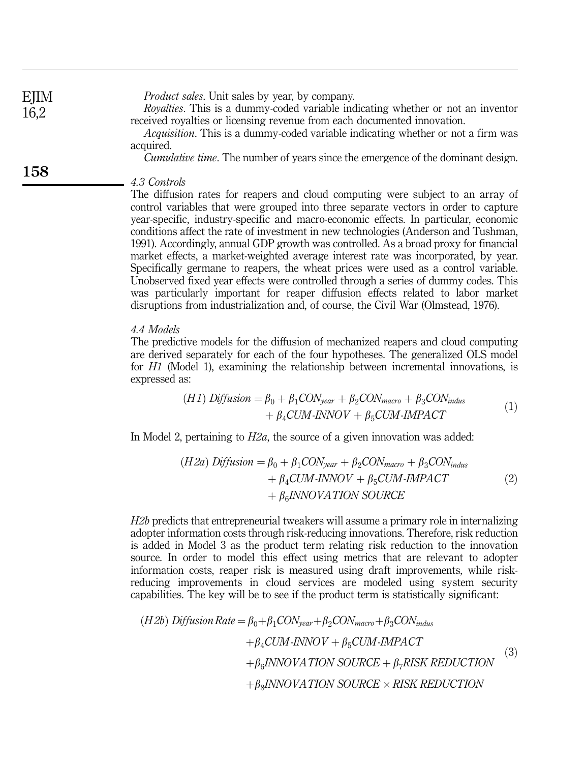| EJIM | <i>Product sales.</i> Unit sales by year, by company.                                                                                                              |
|------|--------------------------------------------------------------------------------------------------------------------------------------------------------------------|
| 16,2 | <i>Royalties.</i> This is a dummy-coded variable indicating whether or not an inventor<br>received royalties or licensing revenue from each documented innovation. |
|      | <i>Acquisition.</i> This is a dummy-coded variable indicating whether or not a firm was<br>acquired.                                                               |
|      | <i>Cumulative time.</i> The number of years since the emergence of the dominant design.                                                                            |
| 158  | 4.3 Controls                                                                                                                                                       |

The diffusion rates for reapers and cloud computing were subject to an array of control variables that were grouped into three separate vectors in order to capture year-specific, industry-specific and macro-economic effects. In particular, economic conditions affect the rate of investment in new technologies (Anderson and Tushman, 1991). Accordingly, annual GDP growth was controlled. As a broad proxy for financial market effects, a market-weighted average interest rate was incorporated, by year. Specifically germane to reapers, the wheat prices were used as a control variable. Unobserved fixed year effects were controlled through a series of dummy codes. This was particularly important for reaper diffusion effects related to labor market disruptions from industrialization and, of course, the Civil War (Olmstead, 1976).

#### 4.4 Models

The predictive models for the diffusion of mechanized reapers and cloud computing are derived separately for each of the four hypotheses. The generalized OLS model for H1 (Model 1), examining the relationship between incremental innovations, is expressed as:

(H1) *Diffusion* = 
$$
\beta_0 + \beta_1 CON_{year} + \beta_2 CON_{macro} + \beta_3 CON_{indus}
$$
  
+  $\beta_4 CUM-INNOV + \beta_5 CUM-INPACT$  (1)

In Model 2, pertaining to  $H2a$ , the source of a given innovation was added:

$$
(H2a) Diffusion = \beta_0 + \beta_1 CON_{year} + \beta_2 CON_{macro} + \beta_3 CON_{indus}
$$

$$
+ \beta_4 CUM-INNOV + \beta_5 CUM-INPACT
$$

$$
+ \beta_6 INNOVATION SOLRCE
$$
 (2)

H2b predicts that entrepreneurial tweakers will assume a primary role in internalizing adopter information costs through risk-reducing innovations. Therefore, risk reduction is added in Model 3 as the product term relating risk reduction to the innovation source. In order to model this effect using metrics that are relevant to adopter information costs, reaper risk is measured using draft improvements, while riskreducing improvements in cloud services are modeled using system security capabilities. The key will be to see if the product term is statistically significant:

$$
(H2b) Diffusion Rate = \beta_0 + \beta_1 CON_{year} + \beta_2 CON_{macro} + \beta_3 CON_{indus}
$$
  
+  $\beta_4 CUM \cdot INNOV + \beta_5 CUM \cdot IMPACT$   
+  $\beta_6 INNOVATION SOURCE + \beta_7 RISK REDUCTION$   
+  $\beta_8 INNOVATION SOURCE \times RISK REDUCTION$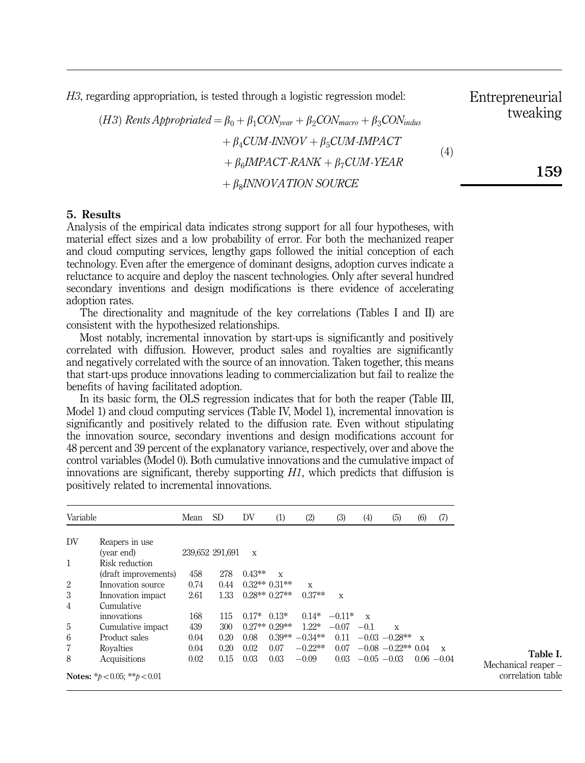H3, regarding appropriation, is tested through a logistic regression model:

(H3) Rents Appropriated  $= \beta_0 + \beta_1 \text{CON}_{\text{year}} + \beta_2 \text{CON}_{\text{macro}} + \beta_3 \text{CON}_{\text{indus}}$  $+\beta_4 CUM\text{-}INNOV + \beta_5 CUM\text{-}IMPACT$  $+ \beta_c IMPACT-RANK + \beta_7 CUM-YEAR$  $+$   $\beta$ <sub>s</sub>INNOVATION SOURCE  $(4)$ 

#### 5. Results

Analysis of the empirical data indicates strong support for all four hypotheses, with material effect sizes and a low probability of error. For both the mechanized reaper and cloud computing services, lengthy gaps followed the initial conception of each technology. Even after the emergence of dominant designs, adoption curves indicate a reluctance to acquire and deploy the nascent technologies. Only after several hundred secondary inventions and design modifications is there evidence of accelerating adoption rates.

The directionality and magnitude of the key correlations (Tables I and II) are consistent with the hypothesized relationships.

Most notably, incremental innovation by start-ups is significantly and positively correlated with diffusion. However, product sales and royalties are significantly and negatively correlated with the source of an innovation. Taken together, this means that start-ups produce innovations leading to commercialization but fail to realize the benefits of having facilitated adoption.

In its basic form, the OLS regression indicates that for both the reaper (Table III, Model 1) and cloud computing services (Table IV, Model 1), incremental innovation is significantly and positively related to the diffusion rate. Even without stipulating the innovation source, secondary inventions and design modifications account for 48 percent and 39 percent of the explanatory variance, respectively, over and above the control variables (Model 0). Both cumulative innovations and the cumulative impact of innovations are significant, thereby supporting  $H1$ , which predicts that diffusion is positively related to incremental innovations.

| Variable       |                                     | Mean | <b>SD</b>       | DV           | (1)            | (2)       | (3)      | (4)          | (5)                  | (6)          | (7)           |
|----------------|-------------------------------------|------|-----------------|--------------|----------------|-----------|----------|--------------|----------------------|--------------|---------------|
| DV             | Reapers in use                      |      |                 |              |                |           |          |              |                      |              |               |
|                | (year end)                          |      | 239,652 291,691 | $\mathbf{x}$ |                |           |          |              |                      |              |               |
| $\mathbf{1}$   | Risk reduction                      |      |                 |              |                |           |          |              |                      |              |               |
|                | (draft improvements)                | 458  | 278             | $0.43**$     | X              |           |          |              |                      |              |               |
| 2              | Innovation source                   | 0.74 | 0.44            |              | $0.32**0.31**$ | X         |          |              |                      |              |               |
| 3              | Innovation impact                   | 2.61 | 1.33            |              | $0.28**0.27**$ | $0.37**$  | X        |              |                      |              |               |
| $\overline{4}$ | Cumulative                          |      |                 |              |                |           |          |              |                      |              |               |
|                | innovations                         | 168  | 115             | $0.17*$      | $0.13*$        | $0.14*$   | $-0.11*$ | $\mathbf{x}$ |                      |              |               |
| 5              | Cumulative impact                   | 439  | 300             |              | $0.27**0.29**$ | $1.22*$   | $-0.07$  | $-0.1$       | X                    |              |               |
| 6              | Product sales                       | 0.04 | 0.20            | 0.08         | $0.39**$       | $-0.34**$ | 0.11     |              | $-0.03 - 0.28$ **    | $\mathbf{x}$ |               |
| 7              | Royalties                           | 0.04 | 0.20            | 0.02         | 0.07           | $-0.22**$ | 0.07     |              | $-0.08 - 0.22**0.04$ |              | $\mathbf x$   |
| 8              | Acquisitions                        | 0.02 | 0.15            | 0.03         | 0.03           | $-0.09$   | 0.03     |              | $-0.05 - 0.03$       |              | $0.06 - 0.04$ |
|                | Notes: * $b < 0.05$ : ** $b < 0.01$ |      |                 |              |                |           |          |              |                      |              |               |

Table I. Mechanical reaper – correlation table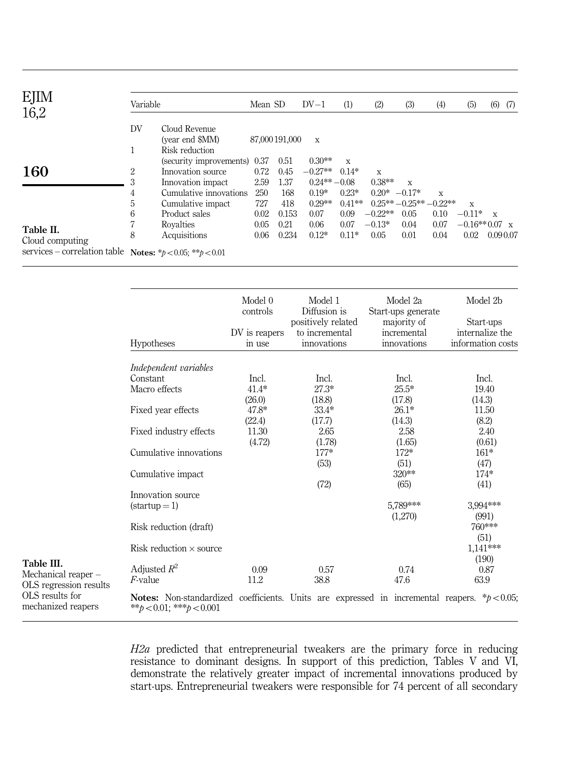| EJIM<br>16,2                 | Variable |                                                    | Mean SD     |                | $DV-1$                    | (1)          | (2)       | (3)                       | (4)  | (5)             | (6)          | (7) |
|------------------------------|----------|----------------------------------------------------|-------------|----------------|---------------------------|--------------|-----------|---------------------------|------|-----------------|--------------|-----|
|                              | DV       | Cloud Revenue<br>(year end \$MM)<br>Risk reduction |             | 87,000 191,000 | $\mathbf x$               |              |           |                           |      |                 |              |     |
| 160                          | 2        | (security improvements) 0.37<br>Innovation source  | 0.72        | 0.51<br>0.45   | $0.30**$<br>$-0.27**$     | X<br>$0.14*$ | X         |                           |      |                 |              |     |
|                              | 3<br>4   | Innovation impact<br>Cumulative innovations        | 2.59<br>250 | 1.37<br>168    | $0.24***-0.08$<br>$0.19*$ | $0.23*$      | $0.38**$  | X<br>$0.20* -0.17*$       | X    |                 |              |     |
|                              | 5        | Cumulative impact                                  | 727         | 418            | $0.29**$                  | $0.41**$     |           | $0.25***-0.25***-0.22***$ |      | X               |              |     |
|                              | 6        | Product sales                                      | 0.02        | 0.153          | 0.07                      | 0.09         | $-0.22**$ | 0.05                      | 0.10 | $-0.11*$        | $\mathbf{x}$ |     |
| Table II.                    |          | Rovalties                                          | 0.05        | 0.21           | 0.06                      | 0.07         | $-0.13*$  | 0.04                      | 0.07 | $-0.16**0.07$ x |              |     |
| Cloud computing              | 8        | Acquisitions                                       | 0.06        | 0.234          | $0.12*$                   | $0.11*$      | 0.05      | 0.01                      | 0.04 | 0.02            | 0.090.07     |     |
| services – correlation table |          | Notes: * $b < 0.05$ : ** $b < 0.01$                |             |                |                           |              |           |                           |      |                 |              |     |

|                                       |                                                                                                                                           | Model 0<br>controls     | Model 1<br>Diffusion is       | Model 2a                          | Model 2b                             |
|---------------------------------------|-------------------------------------------------------------------------------------------------------------------------------------------|-------------------------|-------------------------------|-----------------------------------|--------------------------------------|
|                                       |                                                                                                                                           |                         | positively related            | Start-ups generate<br>majority of | Start-ups                            |
|                                       | <b>Hypotheses</b>                                                                                                                         | DV is reapers<br>in use | to incremental<br>innovations | incremental<br>innovations        | internalize the<br>information costs |
|                                       | Independent variables                                                                                                                     |                         |                               |                                   |                                      |
|                                       | Constant                                                                                                                                  | Incl.                   | Incl.                         | Incl.                             | Incl.                                |
|                                       | Macro effects                                                                                                                             | $41.4*$                 | $27.3*$                       | $25.5*$                           | 19.40                                |
|                                       |                                                                                                                                           | (26.0)                  | (18.8)                        | (17.8)                            | (14.3)                               |
|                                       | Fixed year effects                                                                                                                        | 47.8*                   | $33.4*$                       | $26.1*$                           | 11.50                                |
|                                       |                                                                                                                                           | (22.4)                  | (17.7)                        | (14.3)                            | (8.2)                                |
|                                       | Fixed industry effects                                                                                                                    | 11.30                   | 2.65                          | 2.58                              | 2.40                                 |
|                                       | Cumulative innovations                                                                                                                    | (4.72)                  | (1.78)<br>$177*$              | (1.65)<br>$172*$                  | (0.61)<br>$161*$                     |
|                                       |                                                                                                                                           |                         | (53)                          | (51)                              | (47)                                 |
|                                       | Cumulative impact                                                                                                                         |                         |                               | $320**$                           | $174*$                               |
|                                       |                                                                                                                                           |                         | (72)                          | (65)                              | (41)                                 |
|                                       | Innovation source                                                                                                                         |                         |                               |                                   |                                      |
|                                       | $(startup=1)$                                                                                                                             |                         |                               | 5.789***                          | 3,994***                             |
|                                       | Risk reduction (draft)                                                                                                                    |                         |                               | (1,270)                           | (991)<br>760***                      |
|                                       | Risk reduction $\times$ source                                                                                                            |                         |                               |                                   | (51)<br>$1,141***$                   |
| Table III.                            |                                                                                                                                           |                         |                               |                                   | (190)                                |
| Mechanical reaper –                   | Adjusted $R^2$                                                                                                                            | 0.09                    | 0.57                          | 0.74                              | 0.87                                 |
| OLS regression results                | $F$ -value                                                                                                                                | 11.2                    | 38.8                          | 47.6                              | 63.9                                 |
| OLS results for<br>mechanized reapers | <b>Notes:</b> Non-standardized coefficients. Units are expressed in incremental reapers. $*p < 0.05$ ;<br>** $b < 0.01$ : *** $b < 0.001$ |                         |                               |                                   |                                      |

> H2a predicted that entrepreneurial tweakers are the primary force in reducing resistance to dominant designs. In support of this prediction, Tables V and VI, demonstrate the relatively greater impact of incremental innovations produced by start-ups. Entrepreneurial tweakers were responsible for 74 percent of all secondary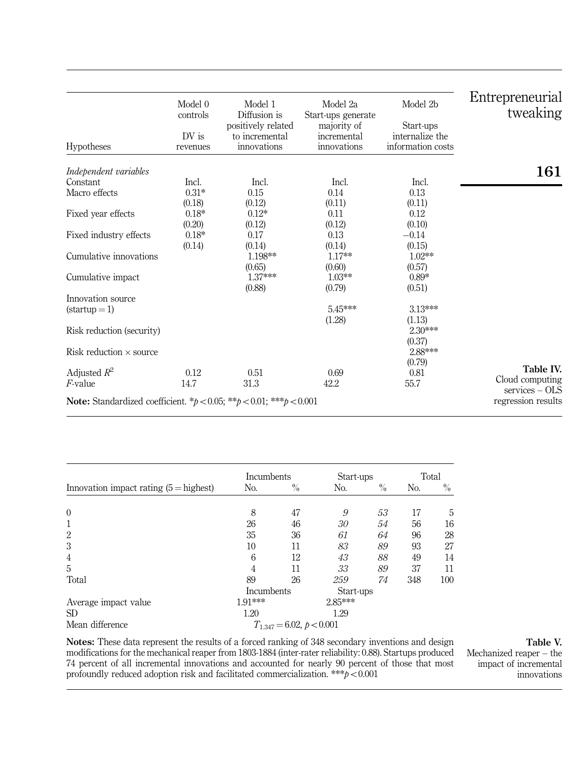| Hypotheses                                                                            | Model 0<br>controls<br>DV is<br>revenues | Model 1<br>Diffusion is<br>positively related<br>to incremental<br>innovations | Model 2a<br>Start-ups generate<br>majority of<br>incremental<br>innovations | Model 2b<br>Start-ups<br>internalize the<br>information costs | Entrepreneurial<br>tweaking |
|---------------------------------------------------------------------------------------|------------------------------------------|--------------------------------------------------------------------------------|-----------------------------------------------------------------------------|---------------------------------------------------------------|-----------------------------|
| Independent variables                                                                 |                                          |                                                                                |                                                                             |                                                               | 161                         |
| Constant                                                                              | Incl.                                    | Incl.                                                                          | Incl.                                                                       | Incl.                                                         |                             |
| Macro effects                                                                         | $0.31*$                                  | 0.15                                                                           | 0.14                                                                        | 0.13                                                          |                             |
|                                                                                       | (0.18)                                   | (0.12)                                                                         | (0.11)                                                                      | (0.11)                                                        |                             |
| Fixed year effects                                                                    | $0.18*$                                  | $0.12*$                                                                        | 0.11                                                                        | 0.12                                                          |                             |
|                                                                                       | (0.20)                                   | (0.12)                                                                         | (0.12)                                                                      | (0.10)                                                        |                             |
| Fixed industry effects                                                                | $0.18*$                                  | 0.17                                                                           | 0.13                                                                        | $-0.14$                                                       |                             |
|                                                                                       | (0.14)                                   | (0.14)                                                                         | (0.14)                                                                      | (0.15)                                                        |                             |
| Cumulative innovations                                                                |                                          | 1.198**                                                                        | $1.17**$                                                                    | $1.02**$                                                      |                             |
|                                                                                       |                                          | (0.65)                                                                         | (0.60)                                                                      | (0.57)                                                        |                             |
| Cumulative impact                                                                     |                                          | 1.37***                                                                        | $1.03**$                                                                    | $0.89*$                                                       |                             |
|                                                                                       |                                          | (0.88)                                                                         | (0.79)                                                                      | (0.51)                                                        |                             |
| Innovation source                                                                     |                                          |                                                                                |                                                                             |                                                               |                             |
| $(startup=1)$                                                                         |                                          |                                                                                | $5.45***$                                                                   | 3.13***                                                       |                             |
|                                                                                       |                                          |                                                                                | (1.28)                                                                      | (1.13)                                                        |                             |
| Risk reduction (security)                                                             |                                          |                                                                                |                                                                             | $2.30***$                                                     |                             |
|                                                                                       |                                          |                                                                                |                                                                             | (0.37)                                                        |                             |
| Risk reduction $\times$ source                                                        |                                          |                                                                                |                                                                             | 2.88***                                                       |                             |
|                                                                                       |                                          |                                                                                |                                                                             | (0.79)                                                        | Table IV.                   |
| Adjusted $R^2$                                                                        | 0.12                                     | 0.51                                                                           | 0.69                                                                        | 0.81                                                          | Cloud computing             |
| $F$ -value                                                                            | 14.7                                     | 31.3                                                                           | 42.2                                                                        | 55.7                                                          | $s$ ervices – OLS           |
| <b>Note:</b> Standardized coefficient. * $p < 0.05$ ; ** $p < 0.01$ ; *** $p < 0.001$ |                                          |                                                                                |                                                                             |                                                               | regression results          |
|                                                                                       |                                          |                                                                                |                                                                             |                                                               |                             |

|                                          | Incumbents |                               | Start-ups | Total |                |      |
|------------------------------------------|------------|-------------------------------|-----------|-------|----------------|------|
| Innovation impact rating $(5 =$ highest) | No.        | $\%$                          | No.       | $\%$  | N <sub>o</sub> | $\%$ |
|                                          |            |                               |           |       |                |      |
| $\mathbf{0}$                             | 8          | 47                            | 9         | 53    | 17             | 5    |
| 1                                        | 26         | 46                            | 30        | 54    | 56             | 16   |
| $\overline{2}$                           | 35         | 36                            | 61        | 64    | 96             | 28   |
| 3                                        | 10         | 11                            | 83        | 89    | 93             | 27   |
| 4                                        | 6          | 12                            | 43        | 88    | 49             | 14   |
| 5                                        | 4          | 11                            | 33        | 89    | 37             | 11   |
| Total                                    | 89         | 26                            | 259       | 74    | 348            | 100  |
|                                          | Incumbents |                               | Start-ups |       |                |      |
| Average impact value                     | 1.91***    |                               | 2.85***   |       |                |      |
| <b>SD</b>                                | 1.20       |                               | 1.29      |       |                |      |
| Mean difference                          |            | $T_{1,347} = 6.02, p < 0.001$ |           |       |                |      |

Notes: These data represent the results of a forced ranking of 348 secondary inventions and design modifications for the mechanical reaper from 1803-1884 (inter-rater reliability: 0.88). Startups produced 74 percent of all incremental innovations and accounted for nearly 90 percent of those that most profoundly reduced adoption risk and facilitated commercialization. \*\*\* $p < 0.001$ 

Mechanized reaper – the impact of incremental innovations

#### Table V.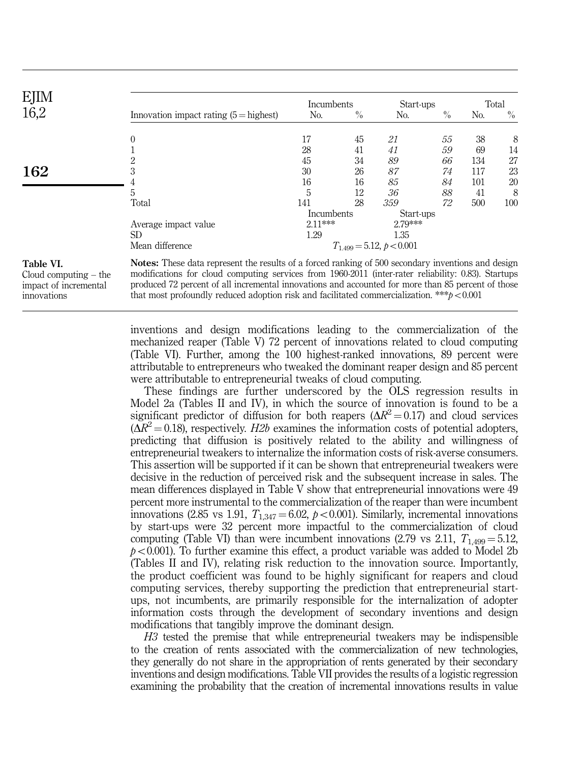| EJIM |                                          | Incumbents |      | Start-ups                     |      |     | Total         |
|------|------------------------------------------|------------|------|-------------------------------|------|-----|---------------|
| 16,2 | Innovation impact rating $(5 =$ highest) | No.        | $\%$ | No.                           | $\%$ | No. | $\frac{0}{0}$ |
|      | 0                                        | 17         | 45   | 21                            | 55   | 38  | 8             |
|      |                                          | 28         | 41   | 41                            | 59   | 69  | 14            |
|      |                                          | 45         | 34   | 89                            | 66   | 134 | 27            |
| 162  |                                          | 30         | 26   | 87                            | 74   | 117 | 23            |
|      |                                          | 16         | 16   | 85                            | 84   | 101 | 20            |
|      | 5                                        | 5          | 12   | 36                            | 88   | 41  | 8             |
|      | Total                                    | 141        | 28   | 359                           | 72   | 500 | 100           |
|      |                                          | Incumbents |      | Start-ups                     |      |     |               |
|      | Average impact value                     | $2.11***$  |      | 2.79***                       |      |     |               |
|      | SD.                                      | 1.29       |      | 1.35                          |      |     |               |
|      | Mean difference                          |            |      | $T_{1,499} = 5.12, b < 0.001$ |      |     |               |

Cloud computing – the impact of incremental innovations

modifications for cloud computing services from 1960-2011 (inter-rater reliability: 0.83). Startups produced 72 percent of all incremental innovations and accounted for more than 85 percent of those that most profoundly reduced adoption risk and facilitated commercialization. \*\*\* $p < 0.001$ 

inventions and design modifications leading to the commercialization of the mechanized reaper (Table V) 72 percent of innovations related to cloud computing (Table VI). Further, among the 100 highest-ranked innovations, 89 percent were attributable to entrepreneurs who tweaked the dominant reaper design and 85 percent were attributable to entrepreneurial tweaks of cloud computing.

These findings are further underscored by the OLS regression results in Model 2a (Tables II and IV), in which the source of innovation is found to be a significant predictor of diffusion for both reapers  $(\Delta R^2 = 0.17)$  and cloud services  $(\Delta R^2 = 0.18)$ , respectively. H2b examines the information costs of potential adopters, predicting that diffusion is positively related to the ability and willingness of entrepreneurial tweakers to internalize the information costs of risk-averse consumers. This assertion will be supported if it can be shown that entrepreneurial tweakers were decisive in the reduction of perceived risk and the subsequent increase in sales. The mean differences displayed in Table V show that entrepreneurial innovations were 49 percent more instrumental to the commercialization of the reaper than were incumbent innovations (2.85 vs 1.91,  $T_{1,347} = 6.02$ ,  $p < 0.001$ ). Similarly, incremental innovations by start-ups were 32 percent more impactful to the commercialization of cloud computing (Table VI) than were incumbent innovations (2.79 vs 2.11,  $T_{1,499} = 5.12$ ,  $p<0.001$ ). To further examine this effect, a product variable was added to Model 2b (Tables II and IV), relating risk reduction to the innovation source. Importantly, the product coefficient was found to be highly significant for reapers and cloud computing services, thereby supporting the prediction that entrepreneurial startups, not incumbents, are primarily responsible for the internalization of adopter information costs through the development of secondary inventions and design modifications that tangibly improve the dominant design.

H3 tested the premise that while entrepreneurial tweakers may be indispensible to the creation of rents associated with the commercialization of new technologies, they generally do not share in the appropriation of rents generated by their secondary inventions and design modifications. Table VII provides the results of a logistic regression examining the probability that the creation of incremental innovations results in value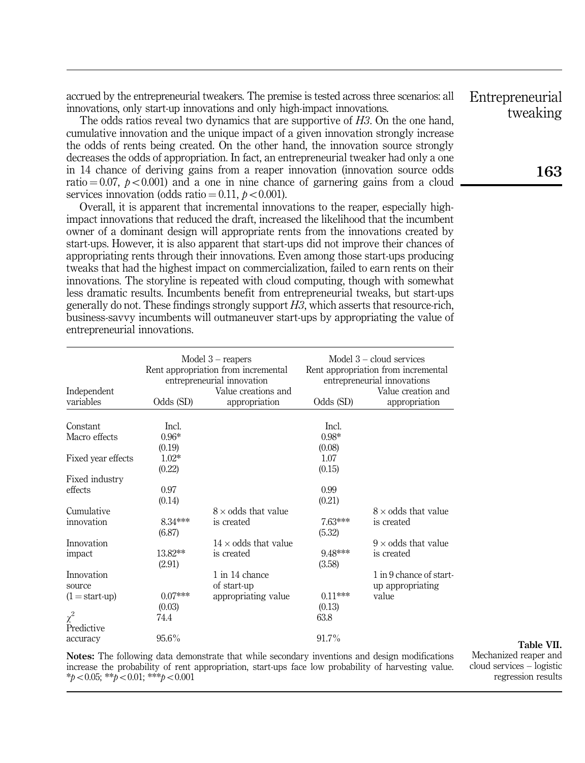accrued by the entrepreneurial tweakers. The premise is tested across three scenarios: all innovations, only start-up innovations and only high-impact innovations.

The odds ratios reveal two dynamics that are supportive of H3. On the one hand, cumulative innovation and the unique impact of a given innovation strongly increase the odds of rents being created. On the other hand, the innovation source strongly decreases the odds of appropriation. In fact, an entrepreneurial tweaker had only a one in 14 chance of deriving gains from a reaper innovation (innovation source odds ratio  $= 0.07$ ,  $p \lt 0.001$  and a one in nine chance of garnering gains from a cloud services innovation (odds ratio  $= 0.11$ ,  $p < 0.001$ ).

Overall, it is apparent that incremental innovations to the reaper, especially highimpact innovations that reduced the draft, increased the likelihood that the incumbent owner of a dominant design will appropriate rents from the innovations created by start-ups. However, it is also apparent that start-ups did not improve their chances of appropriating rents through their innovations. Even among those start-ups producing tweaks that had the highest impact on commercialization, failed to earn rents on their innovations. The storyline is repeated with cloud computing, though with somewhat less dramatic results. Incumbents benefit from entrepreneurial tweaks, but start-ups generally do not. These findings strongly support  $H_3$ , which asserts that resource-rich. business-savvy incumbents will outmaneuver start-ups by appropriating the value of entrepreneurial innovations.

| Independent<br>variables | Odds (SD) | Model $3$ – reapers<br>Rent appropriation from incremental<br>entrepreneurial innovation<br>Value creations and<br>appropriation | Odds (SD) | Model $3$ – cloud services<br>Rent appropriation from incremental<br>entrepreneurial innovations<br>Value creation and<br>appropriation |
|--------------------------|-----------|----------------------------------------------------------------------------------------------------------------------------------|-----------|-----------------------------------------------------------------------------------------------------------------------------------------|
|                          |           |                                                                                                                                  |           |                                                                                                                                         |
| Constant                 | Incl.     |                                                                                                                                  | Incl.     |                                                                                                                                         |
| Macro effects            | $0.96*$   |                                                                                                                                  | $0.98*$   |                                                                                                                                         |
|                          | (0.19)    |                                                                                                                                  | (0.08)    |                                                                                                                                         |
| Fixed year effects       | $1.02*$   |                                                                                                                                  | 1.07      |                                                                                                                                         |
|                          | (0.22)    |                                                                                                                                  | (0.15)    |                                                                                                                                         |
| Fixed industry           |           |                                                                                                                                  |           |                                                                                                                                         |
| effects                  | 0.97      |                                                                                                                                  | 0.99      |                                                                                                                                         |
|                          | (0.14)    |                                                                                                                                  | (0.21)    |                                                                                                                                         |
| Cumulative               |           | $8 \times$ odds that value                                                                                                       |           | $8 \times$ odds that value                                                                                                              |
| innovation               | 8.34***   | is created                                                                                                                       | 7.63***   | is created                                                                                                                              |
|                          | (6.87)    |                                                                                                                                  | (5.32)    |                                                                                                                                         |
| Innovation               |           | $14 \times$ odds that value                                                                                                      |           | $9 \times$ odds that value                                                                                                              |
| impact                   | 13.82**   | is created                                                                                                                       | 9.48***   | is created                                                                                                                              |
|                          | (2.91)    |                                                                                                                                  | (3.58)    |                                                                                                                                         |
| Innovation               |           | 1 in 14 chance                                                                                                                   |           | 1 in 9 chance of start-                                                                                                                 |
| source                   |           | of start-up                                                                                                                      |           | up appropriating                                                                                                                        |
| $(1 = start-up)$         | $0.07***$ | appropriating value                                                                                                              | $0.11***$ | value                                                                                                                                   |
|                          | (0.03)    |                                                                                                                                  | (0.13)    |                                                                                                                                         |
| $\chi^2$                 | 74.4      |                                                                                                                                  | 63.8      |                                                                                                                                         |
| Predictive               |           |                                                                                                                                  |           |                                                                                                                                         |
| accuracy                 | $95.6\%$  |                                                                                                                                  | 91.7%     |                                                                                                                                         |

Notes: The following data demonstrate that while secondary inventions and design modifications increase the probability of rent appropriation, start-ups face low probability of harvesting value.  $*_{p<0.05;}$  \*\*p $<0.01;$  \*\*\*p $<0.001$ 

Table VII. Mechanized reaper and cloud services – logistic regression results

Entrepreneurial tweaking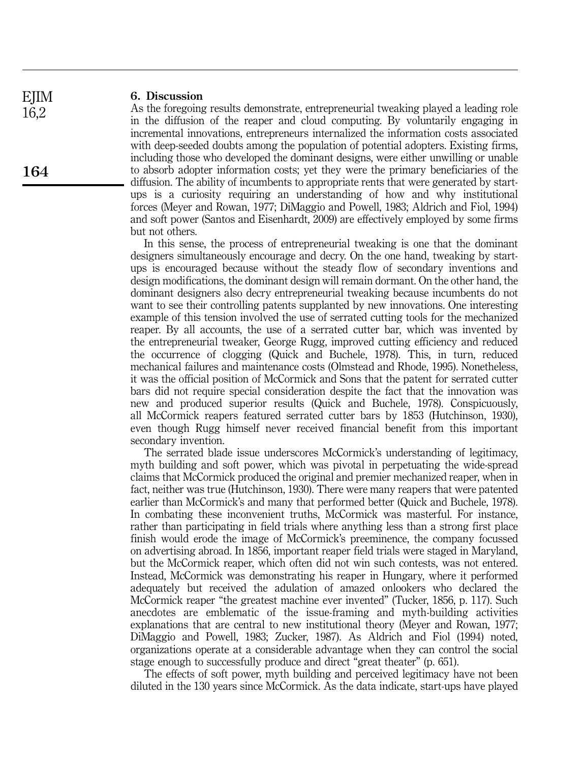#### 6. Discussion

As the foregoing results demonstrate, entrepreneurial tweaking played a leading role in the diffusion of the reaper and cloud computing. By voluntarily engaging in incremental innovations, entrepreneurs internalized the information costs associated with deep-seeded doubts among the population of potential adopters. Existing firms, including those who developed the dominant designs, were either unwilling or unable to absorb adopter information costs; yet they were the primary beneficiaries of the diffusion. The ability of incumbents to appropriate rents that were generated by startups is a curiosity requiring an understanding of how and why institutional forces (Meyer and Rowan, 1977; DiMaggio and Powell, 1983; Aldrich and Fiol, 1994) and soft power (Santos and Eisenhardt, 2009) are effectively employed by some firms but not others.

In this sense, the process of entrepreneurial tweaking is one that the dominant designers simultaneously encourage and decry. On the one hand, tweaking by startups is encouraged because without the steady flow of secondary inventions and design modifications, the dominant design will remain dormant. On the other hand, the dominant designers also decry entrepreneurial tweaking because incumbents do not want to see their controlling patents supplanted by new innovations. One interesting example of this tension involved the use of serrated cutting tools for the mechanized reaper. By all accounts, the use of a serrated cutter bar, which was invented by the entrepreneurial tweaker, George Rugg, improved cutting efficiency and reduced the occurrence of clogging (Quick and Buchele, 1978). This, in turn, reduced mechanical failures and maintenance costs (Olmstead and Rhode, 1995). Nonetheless, it was the official position of McCormick and Sons that the patent for serrated cutter bars did not require special consideration despite the fact that the innovation was new and produced superior results (Quick and Buchele, 1978). Conspicuously, all McCormick reapers featured serrated cutter bars by 1853 (Hutchinson, 1930), even though Rugg himself never received financial benefit from this important secondary invention.

The serrated blade issue underscores McCormick's understanding of legitimacy, myth building and soft power, which was pivotal in perpetuating the wide-spread claims that McCormick produced the original and premier mechanized reaper, when in fact, neither was true (Hutchinson, 1930). There were many reapers that were patented earlier than McCormick's and many that performed better (Quick and Buchele, 1978). In combating these inconvenient truths, McCormick was masterful. For instance, rather than participating in field trials where anything less than a strong first place finish would erode the image of McCormick's preeminence, the company focussed on advertising abroad. In 1856, important reaper field trials were staged in Maryland, but the McCormick reaper, which often did not win such contests, was not entered. Instead, McCormick was demonstrating his reaper in Hungary, where it performed adequately but received the adulation of amazed onlookers who declared the McCormick reaper "the greatest machine ever invented" (Tucker, 1856, p. 117). Such anecdotes are emblematic of the issue-framing and myth-building activities explanations that are central to new institutional theory (Meyer and Rowan, 1977; DiMaggio and Powell, 1983; Zucker, 1987). As Aldrich and Fiol (1994) noted, organizations operate at a considerable advantage when they can control the social stage enough to successfully produce and direct "great theater" (p. 651).

The effects of soft power, myth building and perceived legitimacy have not been diluted in the 130 years since McCormick. As the data indicate, start-ups have played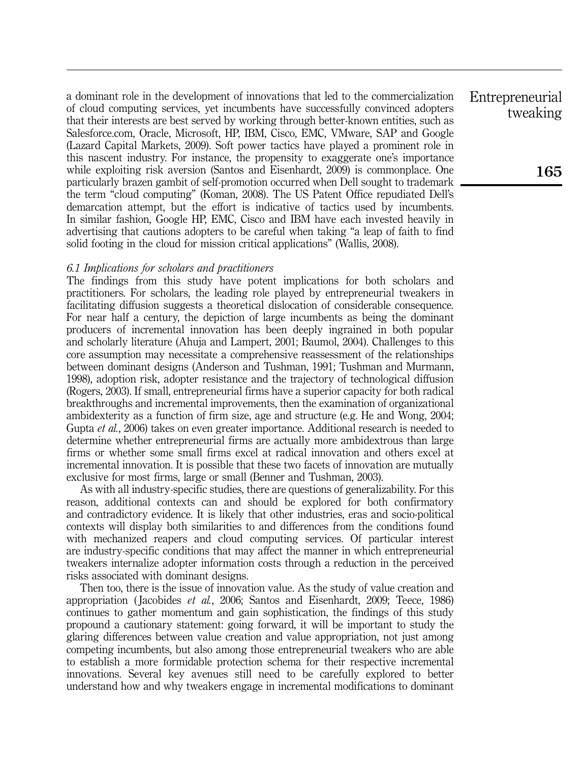a dominant role in the development of innovations that led to the commercialization of cloud computing services, yet incumbents have successfully convinced adopters that their interests are best served by working through better-known entities, such as Salesforce.com, Oracle, Microsoft, HP, IBM, Cisco, EMC, VMware, SAP and Google (Lazard Capital Markets, 2009). Soft power tactics have played a prominent role in this nascent industry. For instance, the propensity to exaggerate one's importance while exploiting risk aversion (Santos and Eisenhardt, 2009) is commonplace. One particularly brazen gambit of self-promotion occurred when Dell sought to trademark the term "cloud computing" (Koman, 2008). The US Patent Office repudiated Dell's demarcation attempt, but the effort is indicative of tactics used by incumbents. In similar fashion, Google HP, EMC, Cisco and IBM have each invested heavily in advertising that cautions adopters to be careful when taking "a leap of faith to find solid footing in the cloud for mission critical applications" (Wallis, 2008).

#### 6.1 Implications for scholars and practitioners

The findings from this study have potent implications for both scholars and practitioners. For scholars, the leading role played by entrepreneurial tweakers in facilitating diffusion suggests a theoretical dislocation of considerable consequence. For near half a century, the depiction of large incumbents as being the dominant producers of incremental innovation has been deeply ingrained in both popular and scholarly literature (Ahuja and Lampert, 2001; Baumol, 2004). Challenges to this core assumption may necessitate a comprehensive reassessment of the relationships between dominant designs (Anderson and Tushman, 1991; Tushman and Murmann, 1998), adoption risk, adopter resistance and the trajectory of technological diffusion (Rogers, 2003). If small, entrepreneurial firms have a superior capacity for both radical breakthroughs and incremental improvements, then the examination of organizational ambidexterity as a function of firm size, age and structure (e.g. He and Wong, 2004; Gupta et al., 2006) takes on even greater importance. Additional research is needed to determine whether entrepreneurial firms are actually more ambidextrous than large firms or whether some small firms excel at radical innovation and others excel at incremental innovation. It is possible that these two facets of innovation are mutually exclusive for most firms, large or small (Benner and Tushman, 2003).

As with all industry-specific studies, there are questions of generalizability. For this reason, additional contexts can and should be explored for both confirmatory and contradictory evidence. It is likely that other industries, eras and socio-political contexts will display both similarities to and differences from the conditions found with mechanized reapers and cloud computing services. Of particular interest are industry-specific conditions that may affect the manner in which entrepreneurial tweakers internalize adopter information costs through a reduction in the perceived risks associated with dominant designs.

Then too, there is the issue of innovation value. As the study of value creation and appropriation ( Jacobides et al., 2006; Santos and Eisenhardt, 2009; Teece, 1986) continues to gather momentum and gain sophistication, the findings of this study propound a cautionary statement: going forward, it will be important to study the glaring differences between value creation and value appropriation, not just among competing incumbents, but also among those entrepreneurial tweakers who are able to establish a more formidable protection schema for their respective incremental innovations. Several key avenues still need to be carefully explored to better understand how and why tweakers engage in incremental modifications to dominant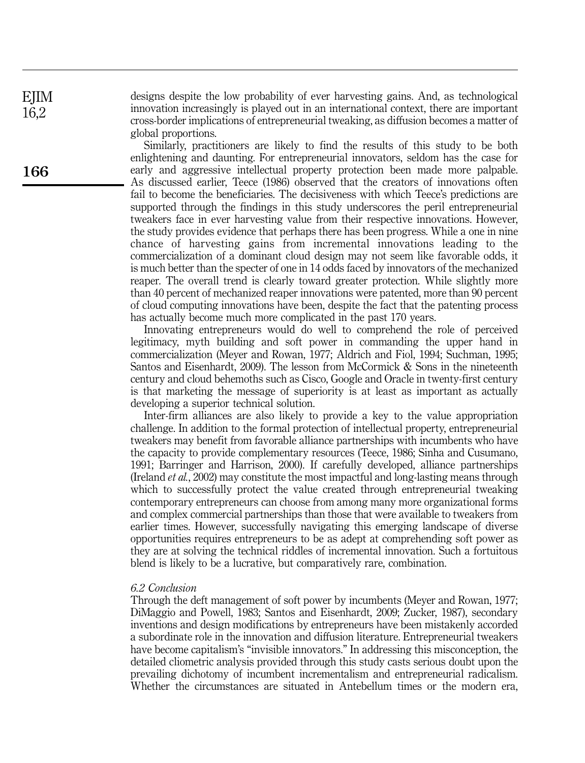designs despite the low probability of ever harvesting gains. And, as technological innovation increasingly is played out in an international context, there are important cross-border implications of entrepreneurial tweaking, as diffusion becomes a matter of global proportions.

Similarly, practitioners are likely to find the results of this study to be both enlightening and daunting. For entrepreneurial innovators, seldom has the case for early and aggressive intellectual property protection been made more palpable. As discussed earlier, Teece (1986) observed that the creators of innovations often fail to become the beneficiaries. The decisiveness with which Teece's predictions are supported through the findings in this study underscores the peril entrepreneurial tweakers face in ever harvesting value from their respective innovations. However, the study provides evidence that perhaps there has been progress. While a one in nine chance of harvesting gains from incremental innovations leading to the commercialization of a dominant cloud design may not seem like favorable odds, it is much better than the specter of one in 14 odds faced by innovators of the mechanized reaper. The overall trend is clearly toward greater protection. While slightly more than 40 percent of mechanized reaper innovations were patented, more than 90 percent of cloud computing innovations have been, despite the fact that the patenting process has actually become much more complicated in the past 170 years.

Innovating entrepreneurs would do well to comprehend the role of perceived legitimacy, myth building and soft power in commanding the upper hand in commercialization (Meyer and Rowan, 1977; Aldrich and Fiol, 1994; Suchman, 1995; Santos and Eisenhardt, 2009). The lesson from McCormick & Sons in the nineteenth century and cloud behemoths such as Cisco, Google and Oracle in twenty-first century is that marketing the message of superiority is at least as important as actually developing a superior technical solution.

Inter-firm alliances are also likely to provide a key to the value appropriation challenge. In addition to the formal protection of intellectual property, entrepreneurial tweakers may benefit from favorable alliance partnerships with incumbents who have the capacity to provide complementary resources (Teece, 1986; Sinha and Cusumano, 1991; Barringer and Harrison, 2000). If carefully developed, alliance partnerships (Ireland et al., 2002) may constitute the most impactful and long-lasting means through which to successfully protect the value created through entrepreneurial tweaking contemporary entrepreneurs can choose from among many more organizational forms and complex commercial partnerships than those that were available to tweakers from earlier times. However, successfully navigating this emerging landscape of diverse opportunities requires entrepreneurs to be as adept at comprehending soft power as they are at solving the technical riddles of incremental innovation. Such a fortuitous blend is likely to be a lucrative, but comparatively rare, combination.

#### 6.2 Conclusion

Through the deft management of soft power by incumbents (Meyer and Rowan, 1977; DiMaggio and Powell, 1983; Santos and Eisenhardt, 2009; Zucker, 1987), secondary inventions and design modifications by entrepreneurs have been mistakenly accorded a subordinate role in the innovation and diffusion literature. Entrepreneurial tweakers have become capitalism's "invisible innovators." In addressing this misconception, the detailed cliometric analysis provided through this study casts serious doubt upon the prevailing dichotomy of incumbent incrementalism and entrepreneurial radicalism. Whether the circumstances are situated in Antebellum times or the modern era,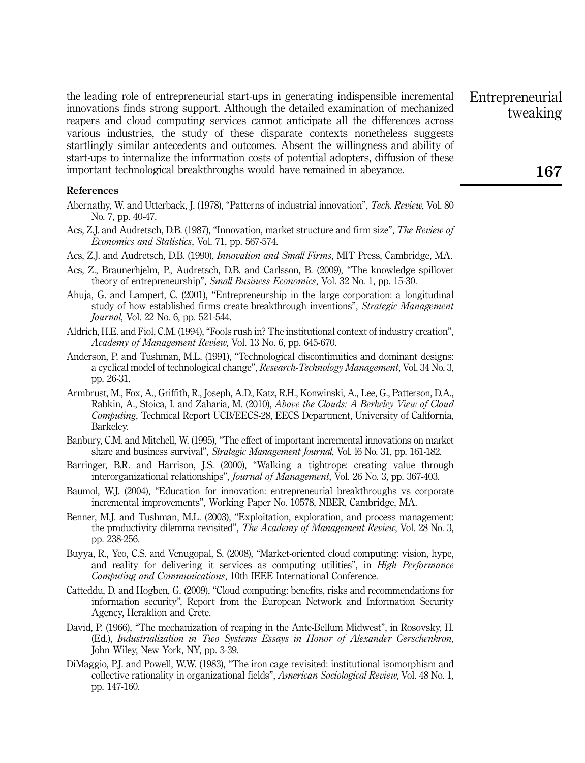the leading role of entrepreneurial start-ups in generating indispensible incremental innovations finds strong support. Although the detailed examination of mechanized reapers and cloud computing services cannot anticipate all the differences across various industries, the study of these disparate contexts nonetheless suggests startlingly similar antecedents and outcomes. Absent the willingness and ability of start-ups to internalize the information costs of potential adopters, diffusion of these important technological breakthroughs would have remained in abeyance.

#### References

- Abernathy, W. and Utterback, J. (1978), "Patterns of industrial innovation", Tech. Review, Vol. 80 No. 7, pp. 40-47.
- Acs, Z.J. and Audretsch, D.B. (1987), "Innovation, market structure and firm size", The Review of Economics and Statistics, Vol. 71, pp. 567-574.
- Acs, Z.J. and Audretsch, D.B. (1990), Innovation and Small Firms, MIT Press, Cambridge, MA.
- Acs, Z., Braunerhjelm, P., Audretsch, D.B. and Carlsson, B. (2009), "The knowledge spillover theory of entrepreneurship", Small Business Economics, Vol. 32 No. 1, pp. 15-30.
- Ahuja, G. and Lampert, C. (2001), "Entrepreneurship in the large corporation: a longitudinal study of how established firms create breakthrough inventions", Strategic Management Journal, Vol. 22 No. 6, pp. 521-544.
- Aldrich, H.E. and Fiol, C.M. (1994), "Fools rush in? The institutional context of industry creation", Academy of Management Review, Vol. 13 No. 6, pp. 645-670.
- Anderson, P. and Tushman, M.L. (1991), "Technological discontinuities and dominant designs: a cyclical model of technological change", Research-Technology Management, Vol. 34 No. 3, pp. 26-31.
- Armbrust, M., Fox, A., Griffith, R., Joseph, A.D., Katz, R.H., Konwinski, A., Lee, G., Patterson, D.A., Rabkin, A., Stoica, I. and Zaharia, M. (2010), Above the Clouds: A Berkeley View of Cloud Computing, Technical Report UCB/EECS-28, EECS Department, University of California, Barkeley.
- Banbury, C.M. and Mitchell, W. (1995), "The effect of important incremental innovations on market share and business survival", Strategic Management Journal, Vol. l6 No. 31, pp. 161-182.
- Barringer, B.R. and Harrison, J.S. (2000), "Walking a tightrope: creating value through interorganizational relationships", *Journal of Management*, Vol. 26 No. 3, pp. 367-403.
- Baumol, W.J. (2004), "Education for innovation: entrepreneurial breakthroughs vs corporate incremental improvements", Working Paper No. 10578, NBER, Cambridge, MA.
- Benner, M.J. and Tushman, M.L. (2003), "Exploitation, exploration, and process management: the productivity dilemma revisited", The Academy of Management Review, Vol. 28 No. 3, pp. 238-256.
- Buyya, R., Yeo, C.S. and Venugopal, S. (2008), "Market-oriented cloud computing: vision, hype, and reality for delivering it services as computing utilities", in High Performance Computing and Communications, 10th IEEE International Conference.
- Catteddu, D. and Hogben, G. (2009), "Cloud computing: benefits, risks and recommendations for information security", Report from the European Network and Information Security Agency, Heraklion and Crete.
- David, P. (1966), "The mechanization of reaping in the Ante-Bellum Midwest", in Rosovsky, H. (Ed.), Industrialization in Two Systems Essays in Honor of Alexander Gerschenkron, John Wiley, New York, NY, pp. 3-39.
- DiMaggio, P.J. and Powell, W.W. (1983), "The iron cage revisited: institutional isomorphism and collective rationality in organizational fields", American Sociological Review, Vol. 48 No. 1, pp. 147-160.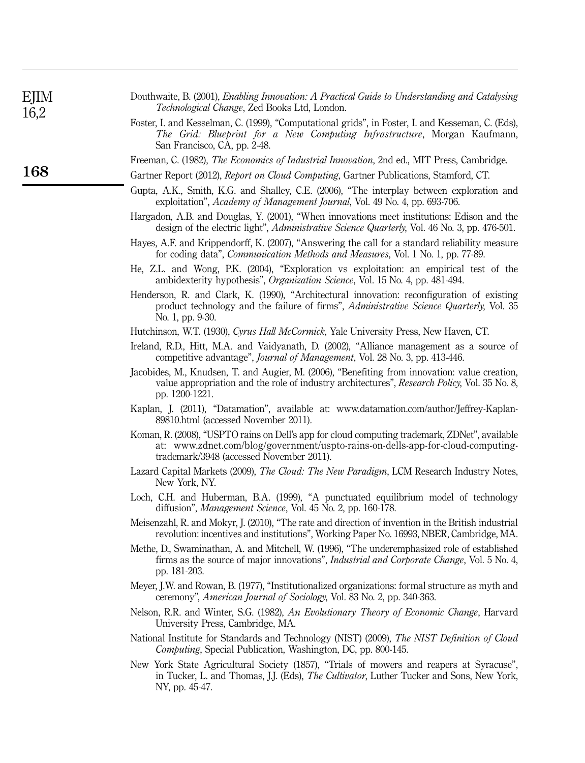| EJIM<br>16,2 | Douthwaite, B. (2001), <i>Enabling Innovation: A Practical Guide to Understanding and Catalysing</i><br>Technological Change, Zed Books Ltd, London.                                                                         |
|--------------|------------------------------------------------------------------------------------------------------------------------------------------------------------------------------------------------------------------------------|
|              | Foster, I. and Kesselman, C. (1999), "Computational grids", in Foster, I. and Kesseman, C. (Eds),<br>The Grid: Blueprint for a New Computing Infrastructure, Morgan Kaufmann,<br>San Francisco, CA, pp. 2-48.                |
|              | Freeman, C. (1982), The Economics of Industrial Innovation, 2nd ed., MIT Press, Cambridge.                                                                                                                                   |
| 168          | Gartner Report (2012), Report on Cloud Computing, Gartner Publications, Stamford, CT.                                                                                                                                        |
|              | Gupta, A.K., Smith, K.G. and Shalley, C.E. (2006), "The interplay between exploration and<br>exploitation", Academy of Management Journal, Vol. 49 No. 4, pp. 693-706.                                                       |
|              | Hargadon, A.B. and Douglas, Y. (2001), "When innovations meet institutions: Edison and the<br>design of the electric light", Administrative Science Quarterly, Vol. 46 No. 3, pp. 476-501.                                   |
|              | Hayes, A.F. and Krippendorff, K. (2007), "Answering the call for a standard reliability measure<br>for coding data", Communication Methods and Measures, Vol. 1 No. 1, pp. 77-89.                                            |
|              | He, Z.L. and Wong, P.K. (2004), "Exploration vs exploitation: an empirical test of the<br>ambidexterity hypothesis", Organization Science, Vol. 15 No. 4, pp. 481-494.                                                       |
|              | Henderson, R. and Clark, K. (1990), "Architectural innovation: reconfiguration of existing<br>product technology and the failure of firms", Administrative Science Quarterly, Vol. 35<br>No. 1, pp. 9-30.                    |
|              | Hutchinson, W.T. (1930), Cyrus Hall McCormick, Yale University Press, New Haven, CT.                                                                                                                                         |
|              | Ireland, R.D., Hitt, M.A. and Vaidyanath, D. (2002), "Alliance management as a source of<br>competitive advantage", <i>Journal of Management</i> , Vol. 28 No. 3, pp. 413-446.                                               |
|              | Jacobides, M., Knudsen, T. and Augier, M. (2006), "Benefiting from innovation: value creation,<br>value appropriation and the role of industry architectures", Research Policy, Vol. 35 No. 8,<br>pp. 1200-1221.             |
|              | Kaplan, J. (2011), "Datamation", available at: www.datamation.com/author/Jeffrey-Kaplan-<br>89810.html (accessed November 2011).                                                                                             |
|              | Koman, R. (2008), "USPTO rains on Dell's app for cloud computing trademark, ZDNet", available<br>at: www.zdnet.com/blog/government/uspto-rains-on-dells-app-for-cloud-computing-<br>trademark/3948 (accessed November 2011). |
|              | Lazard Capital Markets (2009), The Cloud: The New Paradigm, LCM Research Industry Notes,<br>New York, NY.                                                                                                                    |
|              | Loch, C.H. and Huberman, B.A. (1999), "A punctuated equilibrium model of technology<br>diffusion", Management Science, Vol. 45 No. 2, pp. 160-178.                                                                           |
|              | Meisenzahl, R. and Mokyr, J. (2010), "The rate and direction of invention in the British industrial<br>revolution: incentives and institutions", Working Paper No. 16993, NBER, Cambridge, MA.                               |
|              | Methe, D., Swaminathan, A. and Mitchell, W. (1996), "The underemphasized role of established<br>firms as the source of major innovations", <i>Industrial and Corporate Change</i> , Vol. 5 No. 4,<br>pp. 181-203.            |
|              | Meyer, J.W. and Rowan, B. (1977), "Institutionalized organizations: formal structure as myth and<br>ceremony", American Journal of Sociology, Vol. 83 No. 2, pp. 340-363.                                                    |
|              | Nelson, R.R. and Winter, S.G. (1982), An Evolutionary Theory of Economic Change, Harvard<br>University Press, Cambridge, MA.                                                                                                 |
|              | National Institute for Standards and Technology (NIST) (2009), The NIST Definition of Cloud<br>Computing, Special Publication, Washington, DC, pp. 800-145.                                                                  |
|              | New York State Agricultural Society (1857), "Trials of mowers and reapers at Syracuse",<br>in Tucker, L. and Thomas, J.J. (Eds), <i>The Cultivator</i> , Luther Tucker and Sons, New York,<br>NY, pp. 45-47.                 |
|              |                                                                                                                                                                                                                              |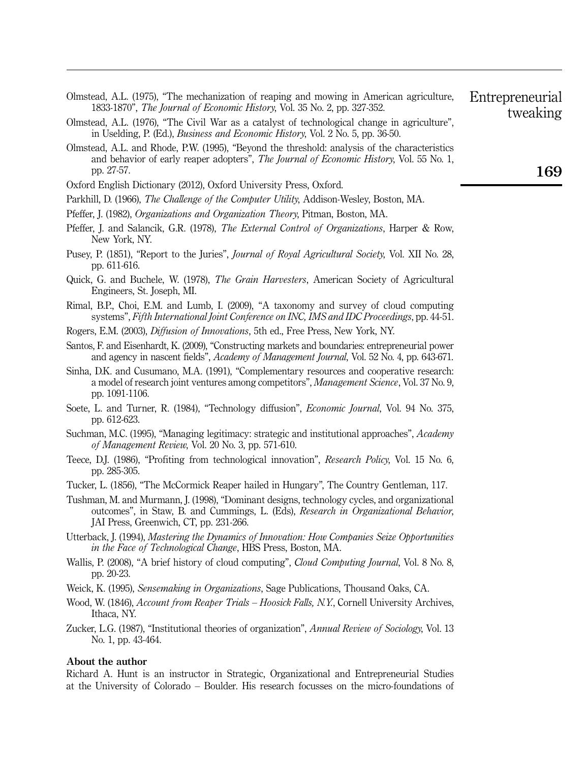| Olmstead, A.L. (1975), "The mechanization of reaping and mowing in American agriculture,<br>1833-1870", <i>The Journal of Economic History</i> , Vol. 35 No. 2, pp. 327-352.<br>Olmstead, A.L. (1976), "The Civil War as a catalyst of technological change in agriculture",<br>in Uselding, P. (Ed.), <i>Business and Economic History</i> , Vol. 2 No. 5, pp. 36-50. | Entrepreneurial<br>tweaking |
|------------------------------------------------------------------------------------------------------------------------------------------------------------------------------------------------------------------------------------------------------------------------------------------------------------------------------------------------------------------------|-----------------------------|
| Olmstead, A.L. and Rhode, P.W. (1995), "Beyond the threshold: analysis of the characteristics<br>and behavior of early reaper adopters", <i>The Journal of Economic History</i> , Vol. 55 No. 1,<br>pp. 27-57.                                                                                                                                                         | 169                         |
| Oxford English Dictionary (2012), Oxford University Press, Oxford.                                                                                                                                                                                                                                                                                                     |                             |

Parkhill, D. (1966), The Challenge of the Computer Utility, Addison-Wesley, Boston, MA.

- Pfeffer, J. (1982), Organizations and Organization Theory, Pitman, Boston, MA.
- Pfeffer, I. and Salancik, G.R. (1978), *The External Control of Organizations*, Harper & Row, New York, NY.
- Pusey, P. (1851), "Report to the Juries", *Journal of Royal Agricultural Society*, Vol. XII No. 28, pp. 611-616.
- Quick, G. and Buchele, W. (1978), The Grain Harvesters, American Society of Agricultural Engineers, St. Joseph, MI.
- Rimal, B.P., Choi, E.M. and Lumb, I. (2009), "A taxonomy and survey of cloud computing systems", Fifth International Joint Conference on INC, IMS and IDC Proceedings, pp. 44-51.
- Rogers, E.M. (2003), Diffusion of Innovations, 5th ed., Free Press, New York, NY.
- Santos, F. and Eisenhardt, K. (2009), "Constructing markets and boundaries: entrepreneurial power and agency in nascent fields", Academy of Management Journal, Vol. 52 No. 4, pp. 643-671.
- Sinha, D.K. and Cusumano, M.A. (1991), "Complementary resources and cooperative research: a model of research joint ventures among competitors", Management Science, Vol. 37 No. 9, pp. 1091-1106.
- Soete, L. and Turner, R. (1984), "Technology diffusion", *Economic Journal*, Vol. 94 No. 375, pp. 612-623.
- Suchman, M.C. (1995), "Managing legitimacy: strategic and institutional approaches", Academy of Management Review, Vol. 20 No. 3, pp. 571-610.
- Teece, D.J. (1986), "Profiting from technological innovation", *Research Policy*, Vol. 15 No. 6, pp. 285-305.
- Tucker, L. (1856), "The McCormick Reaper hailed in Hungary", The Country Gentleman, 117.
- Tushman, M. and Murmann, J. (1998), "Dominant designs, technology cycles, and organizational outcomes", in Staw, B. and Cummings, L. (Eds), Research in Organizational Behavior, JAI Press, Greenwich, CT, pp. 231-266.

Utterback, J. (1994), Mastering the Dynamics of Innovation: How Companies Seize Opportunities in the Face of Technological Change, HBS Press, Boston, MA.

- Wallis, P. (2008), "A brief history of cloud computing", *Cloud Computing Journal*, Vol. 8 No. 8, pp. 20-23.
- Weick, K. (1995), Sensemaking in Organizations, Sage Publications, Thousand Oaks, CA.
- Wood, W. (1846), *Account from Reaper Trials Hoosick Falls, N.Y.*, Cornell University Archives, Ithaca, NY.
- Zucker, L.G. (1987), "Institutional theories of organization", Annual Review of Sociology, Vol. 13 No. 1, pp. 43-464.

#### About the author

Richard A. Hunt is an instructor in Strategic, Organizational and Entrepreneurial Studies at the University of Colorado – Boulder. His research focusses on the micro-foundations of